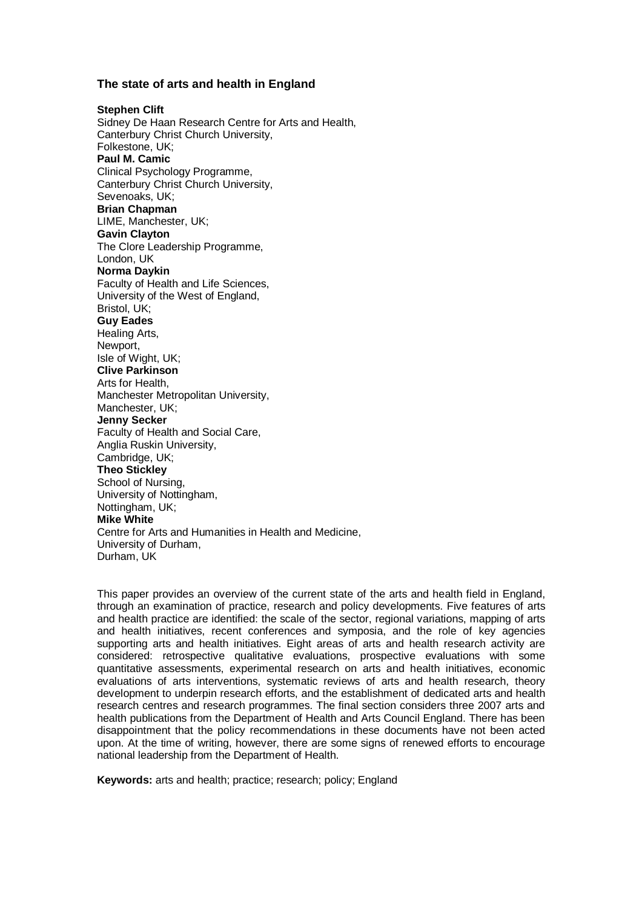# **The state of arts and health in England**

**Stephen Clift**  Sidney De Haan Research Centre for Arts and Health, Canterbury Christ Church University, Folkestone, UK; **Paul M. Camic**  Clinical Psychology Programme, Canterbury Christ Church University, Sevenoaks, UK; **Brian Chapman**  LIME, Manchester, UK; **Gavin Clayton** The Clore Leadership Programme, London, UK **Norma Daykin**  Faculty of Health and Life Sciences, University of the West of England, Bristol, UK; **Guy Eades**  Healing Arts, Newport, Isle of Wight, UK; **Clive Parkinson**  Arts for Health, Manchester Metropolitan University, Manchester, UK; **Jenny Secker**  Faculty of Health and Social Care, Anglia Ruskin University, Cambridge, UK; **Theo Stickley**  School of Nursing, University of Nottingham, Nottingham, UK; **Mike White**  Centre for Arts and Humanities in Health and Medicine, University of Durham, Durham, UK

This paper provides an overview of the current state of the arts and health field in England, through an examination of practice, research and policy developments. Five features of arts and health practice are identified: the scale of the sector, regional variations, mapping of arts and health initiatives, recent conferences and symposia, and the role of key agencies supporting arts and health initiatives. Eight areas of arts and health research activity are considered: retrospective qualitative evaluations, prospective evaluations with some quantitative assessments, experimental research on arts and health initiatives, economic evaluations of arts interventions, systematic reviews of arts and health research, theory development to underpin research efforts, and the establishment of dedicated arts and health research centres and research programmes. The final section considers three 2007 arts and health publications from the Department of Health and Arts Council England. There has been disappointment that the policy recommendations in these documents have not been acted upon. At the time of writing, however, there are some signs of renewed efforts to encourage national leadership from the Department of Health.

**Keywords:** arts and health; practice; research; policy; England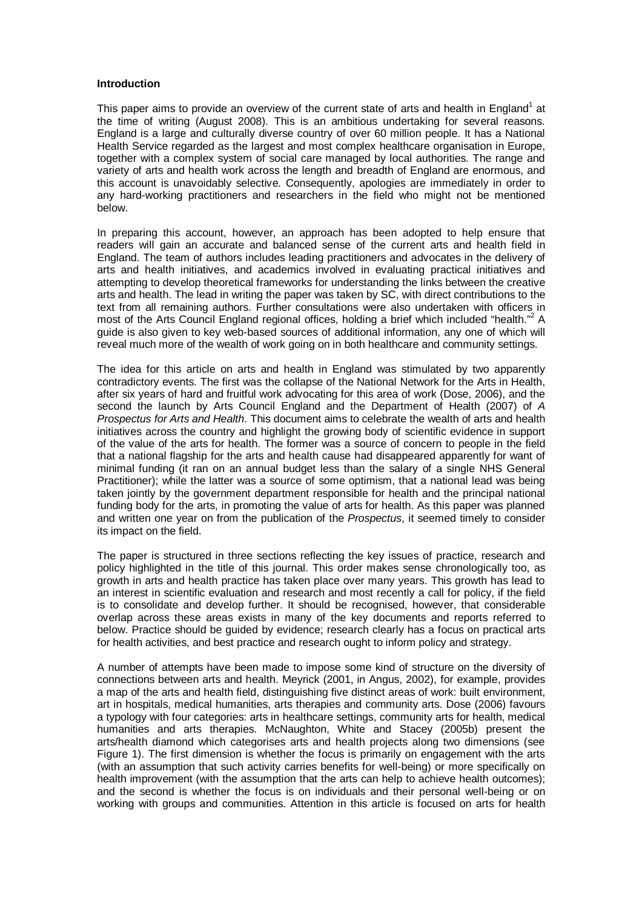### **Introduction**

This paper aims to provide an overview of the current state of arts and health in England<sup>1</sup> at the time of writing (August 2008). This is an ambitious undertaking for several reasons. England is a large and culturally diverse country of over 60 million people. It has a National Health Service regarded as the largest and most complex healthcare organisation in Europe, together with a complex system of social care managed by local authorities. The range and variety of arts and health work across the length and breadth of England are enormous, and this account is unavoidably selective. Consequently, apologies are immediately in order to any hard-working practitioners and researchers in the field who might not be mentioned below.

In preparing this account, however, an approach has been adopted to help ensure that readers will gain an accurate and balanced sense of the current arts and health field in England. The team of authors includes leading practitioners and advocates in the delivery of arts and health initiatives, and academics involved in evaluating practical initiatives and attempting to develop theoretical frameworks for understanding the links between the creative arts and health. The lead in writing the paper was taken by SC, with direct contributions to the text from all remaining authors. Further consultations were also undertaken with officers in most of the Arts Council England regional offices, holding a brief which included "health."<sup>2</sup> A guide is also given to key web-based sources of additional information, any one of which will reveal much more of the wealth of work going on in both healthcare and community settings.

The idea for this article on arts and health in England was stimulated by two apparently contradictory events. The first was the collapse of the National Network for the Arts in Health, after six years of hard and fruitful work advocating for this area of work (Dose, 2006), and the second the launch by Arts Council England and the Department of Health (2007) of A Prospectus for Arts and Health. This document aims to celebrate the wealth of arts and health initiatives across the country and highlight the growing body of scientific evidence in support of the value of the arts for health. The former was a source of concern to people in the field that a national flagship for the arts and health cause had disappeared apparently for want of minimal funding (it ran on an annual budget less than the salary of a single NHS General Practitioner); while the latter was a source of some optimism, that a national lead was being taken jointly by the government department responsible for health and the principal national funding body for the arts, in promoting the value of arts for health. As this paper was planned and written one year on from the publication of the Prospectus, it seemed timely to consider its impact on the field.

The paper is structured in three sections reflecting the key issues of practice, research and policy highlighted in the title of this journal. This order makes sense chronologically too, as growth in arts and health practice has taken place over many years. This growth has lead to an interest in scientific evaluation and research and most recently a call for policy, if the field is to consolidate and develop further. It should be recognised, however, that considerable overlap across these areas exists in many of the key documents and reports referred to below. Practice should be guided by evidence; research clearly has a focus on practical arts for health activities, and best practice and research ought to inform policy and strategy.

A number of attempts have been made to impose some kind of structure on the diversity of connections between arts and health. Meyrick (2001, in Angus, 2002), for example, provides a map of the arts and health field, distinguishing five distinct areas of work: built environment, art in hospitals, medical humanities, arts therapies and community arts. Dose (2006) favours a typology with four categories: arts in healthcare settings, community arts for health, medical humanities and arts therapies. McNaughton, White and Stacey (2005b) present the arts/health diamond which categorises arts and health projects along two dimensions (see Figure 1). The first dimension is whether the focus is primarily on engagement with the arts (with an assumption that such activity carries benefits for well-being) or more specifically on health improvement (with the assumption that the arts can help to achieve health outcomes); and the second is whether the focus is on individuals and their personal well-being or on working with groups and communities. Attention in this article is focused on arts for health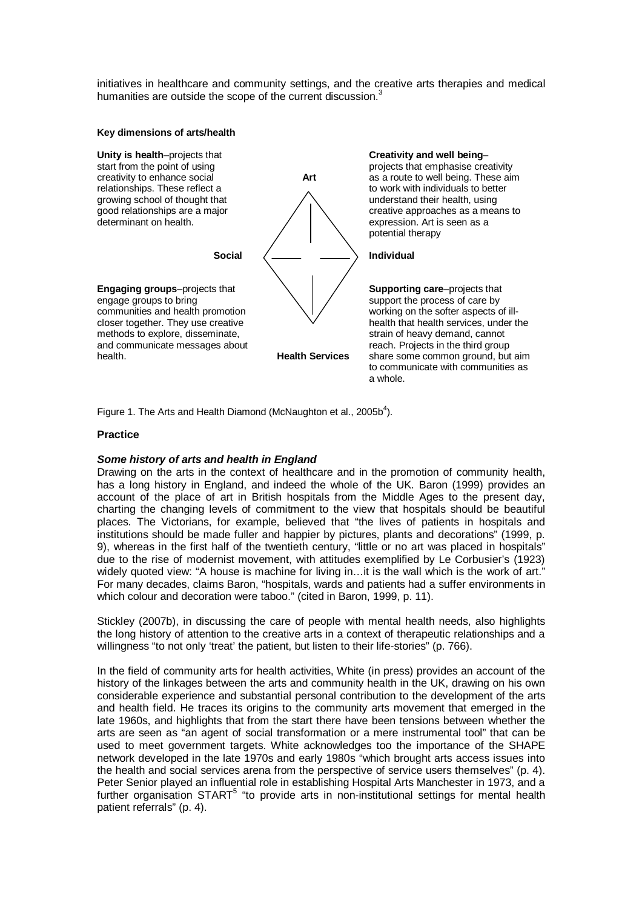initiatives in healthcare and community settings, and the creative arts therapies and medical humanities are outside the scope of the current discussion.<sup>3</sup>

#### **Key dimensions of arts/health**



Figure 1. The Arts and Health Diamond (McNaughton et al., 2005b<sup>4</sup>).

### **Practice**

### **Some history of arts and health in England**

Drawing on the arts in the context of healthcare and in the promotion of community health, has a long history in England, and indeed the whole of the UK. Baron (1999) provides an account of the place of art in British hospitals from the Middle Ages to the present day, charting the changing levels of commitment to the view that hospitals should be beautiful places. The Victorians, for example, believed that "the lives of patients in hospitals and institutions should be made fuller and happier by pictures, plants and decorations" (1999, p. 9), whereas in the first half of the twentieth century, "little or no art was placed in hospitals" due to the rise of modernist movement, with attitudes exemplified by Le Corbusier's (1923) widely quoted view: "A house is machine for living in...it is the wall which is the work of art." For many decades, claims Baron, "hospitals, wards and patients had a suffer environments in which colour and decoration were taboo." (cited in Baron, 1999, p. 11).

Stickley (2007b), in discussing the care of people with mental health needs, also highlights the long history of attention to the creative arts in a context of therapeutic relationships and a willingness "to not only 'treat' the patient, but listen to their life-stories" (p. 766).

In the field of community arts for health activities, White (in press) provides an account of the history of the linkages between the arts and community health in the UK, drawing on his own considerable experience and substantial personal contribution to the development of the arts and health field. He traces its origins to the community arts movement that emerged in the late 1960s, and highlights that from the start there have been tensions between whether the arts are seen as "an agent of social transformation or a mere instrumental tool" that can be used to meet government targets. White acknowledges too the importance of the SHAPE network developed in the late 1970s and early 1980s "which brought arts access issues into the health and social services arena from the perspective of service users themselves" (p. 4). Peter Senior played an influential role in establishing Hospital Arts Manchester in 1973, and a further organisation START<sup>5</sup> "to provide arts in non-institutional settings for mental health patient referrals" (p. 4).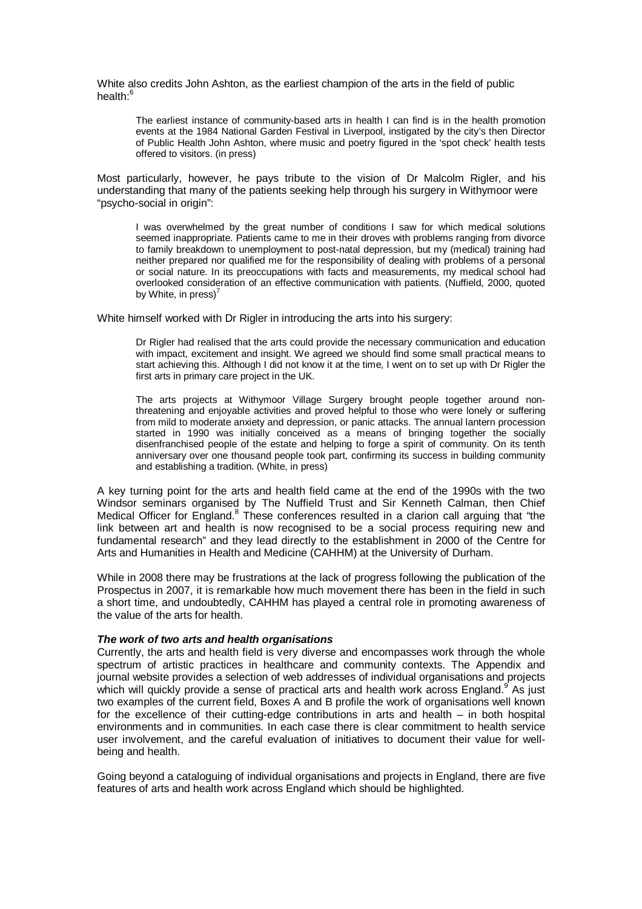White also credits John Ashton, as the earliest champion of the arts in the field of public health:<sup>6</sup>

The earliest instance of community-based arts in health I can find is in the health promotion events at the 1984 National Garden Festival in Liverpool, instigated by the city's then Director of Public Health John Ashton, where music and poetry figured in the 'spot check' health tests offered to visitors. (in press)

Most particularly, however, he pays tribute to the vision of Dr Malcolm Rigler, and his understanding that many of the patients seeking help through his surgery in Withymoor were "psycho-social in origin":

I was overwhelmed by the great number of conditions I saw for which medical solutions seemed inappropriate. Patients came to me in their droves with problems ranging from divorce to family breakdown to unemployment to post-natal depression, but my (medical) training had neither prepared nor qualified me for the responsibility of dealing with problems of a personal or social nature. In its preoccupations with facts and measurements, my medical school had overlooked consideration of an effective communication with patients. (Nuffield, 2000, quoted by White, in press) $<sup>7</sup>$ </sup>

White himself worked with Dr Rigler in introducing the arts into his surgery:

Dr Rigler had realised that the arts could provide the necessary communication and education with impact, excitement and insight. We agreed we should find some small practical means to start achieving this. Although I did not know it at the time, I went on to set up with Dr Rigler the first arts in primary care project in the UK.

The arts projects at Withymoor Village Surgery brought people together around nonthreatening and enjoyable activities and proved helpful to those who were lonely or suffering from mild to moderate anxiety and depression, or panic attacks. The annual lantern procession started in 1990 was initially conceived as a means of bringing together the socially disenfranchised people of the estate and helping to forge a spirit of community. On its tenth anniversary over one thousand people took part, confirming its success in building community and establishing a tradition. (White, in press)

A key turning point for the arts and health field came at the end of the 1990s with the two Windsor seminars organised by The Nuffield Trust and Sir Kenneth Calman, then Chief Medical Officer for England.<sup>8</sup> These conferences resulted in a clarion call arguing that "the link between art and health is now recognised to be a social process requiring new and fundamental research" and they lead directly to the establishment in 2000 of the Centre for Arts and Humanities in Health and Medicine (CAHHM) at the University of Durham.

While in 2008 there may be frustrations at the lack of progress following the publication of the Prospectus in 2007, it is remarkable how much movement there has been in the field in such a short time, and undoubtedly, CAHHM has played a central role in promoting awareness of the value of the arts for health.

### **The work of two arts and health organisations**

Currently, the arts and health field is very diverse and encompasses work through the whole spectrum of artistic practices in healthcare and community contexts. The Appendix and journal website provides a selection of web addresses of individual organisations and projects which will quickly provide a sense of practical arts and health work across England.<sup>9</sup> As just two examples of the current field, Boxes A and B profile the work of organisations well known for the excellence of their cutting-edge contributions in arts and health – in both hospital environments and in communities. In each case there is clear commitment to health service user involvement, and the careful evaluation of initiatives to document their value for wellbeing and health.

Going beyond a cataloguing of individual organisations and projects in England, there are five features of arts and health work across England which should be highlighted.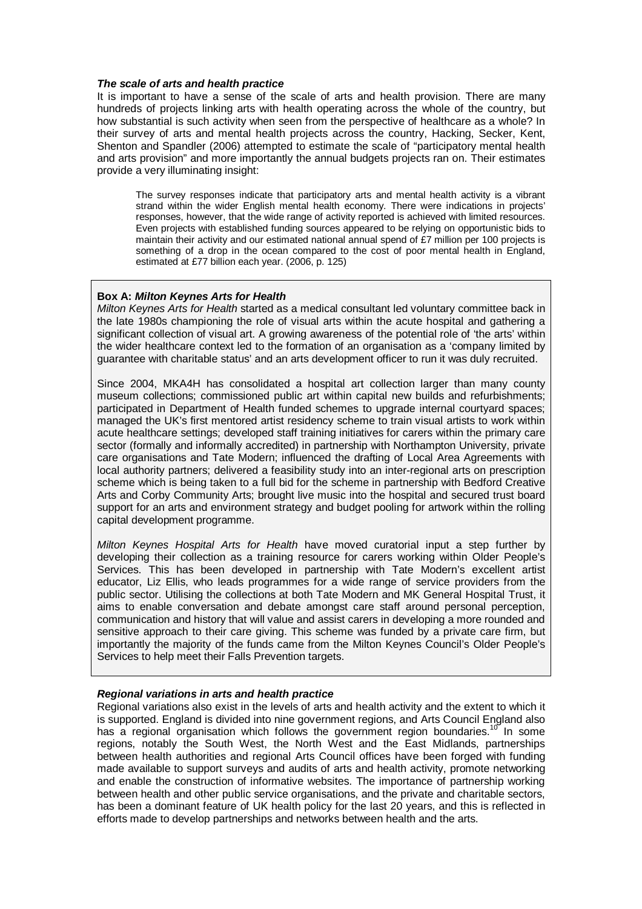### **The scale of arts and health practice**

It is important to have a sense of the scale of arts and health provision. There are many hundreds of projects linking arts with health operating across the whole of the country, but how substantial is such activity when seen from the perspective of healthcare as a whole? In their survey of arts and mental health projects across the country, Hacking, Secker, Kent, Shenton and Spandler (2006) attempted to estimate the scale of "participatory mental health and arts provision" and more importantly the annual budgets projects ran on. Their estimates provide a very illuminating insight:

The survey responses indicate that participatory arts and mental health activity is a vibrant strand within the wider English mental health economy. There were indications in projects' responses, however, that the wide range of activity reported is achieved with limited resources. Even projects with established funding sources appeared to be relying on opportunistic bids to maintain their activity and our estimated national annual spend of £7 million per 100 projects is something of a drop in the ocean compared to the cost of poor mental health in England, estimated at £77 billion each year. (2006, p. 125)

# **Box A: Milton Keynes Arts for Health**

Milton Keynes Arts for Health started as a medical consultant led voluntary committee back in the late 1980s championing the role of visual arts within the acute hospital and gathering a significant collection of visual art. A growing awareness of the potential role of 'the arts' within the wider healthcare context led to the formation of an organisation as a 'company limited by guarantee with charitable status' and an arts development officer to run it was duly recruited.

Since 2004, MKA4H has consolidated a hospital art collection larger than many county museum collections; commissioned public art within capital new builds and refurbishments; participated in Department of Health funded schemes to upgrade internal courtyard spaces; managed the UK's first mentored artist residency scheme to train visual artists to work within acute healthcare settings; developed staff training initiatives for carers within the primary care sector (formally and informally accredited) in partnership with Northampton University, private care organisations and Tate Modern; influenced the drafting of Local Area Agreements with local authority partners; delivered a feasibility study into an inter-regional arts on prescription scheme which is being taken to a full bid for the scheme in partnership with Bedford Creative Arts and Corby Community Arts; brought live music into the hospital and secured trust board support for an arts and environment strategy and budget pooling for artwork within the rolling capital development programme.

Milton Keynes Hospital Arts for Health have moved curatorial input a step further by developing their collection as a training resource for carers working within Older People's Services. This has been developed in partnership with Tate Modern's excellent artist educator, Liz Ellis, who leads programmes for a wide range of service providers from the public sector. Utilising the collections at both Tate Modern and MK General Hospital Trust, it aims to enable conversation and debate amongst care staff around personal perception, communication and history that will value and assist carers in developing a more rounded and sensitive approach to their care giving. This scheme was funded by a private care firm, but importantly the majority of the funds came from the Milton Keynes Council's Older People's Services to help meet their Falls Prevention targets.

### **Regional variations in arts and health practice**

Regional variations also exist in the levels of arts and health activity and the extent to which it is supported. England is divided into nine government regions, and Arts Council England also has a regional organisation which follows the government region boundaries.<sup>10</sup> In some regions, notably the South West, the North West and the East Midlands, partnerships between health authorities and regional Arts Council offices have been forged with funding made available to support surveys and audits of arts and health activity, promote networking and enable the construction of informative websites. The importance of partnership working between health and other public service organisations, and the private and charitable sectors, has been a dominant feature of UK health policy for the last 20 years, and this is reflected in efforts made to develop partnerships and networks between health and the arts.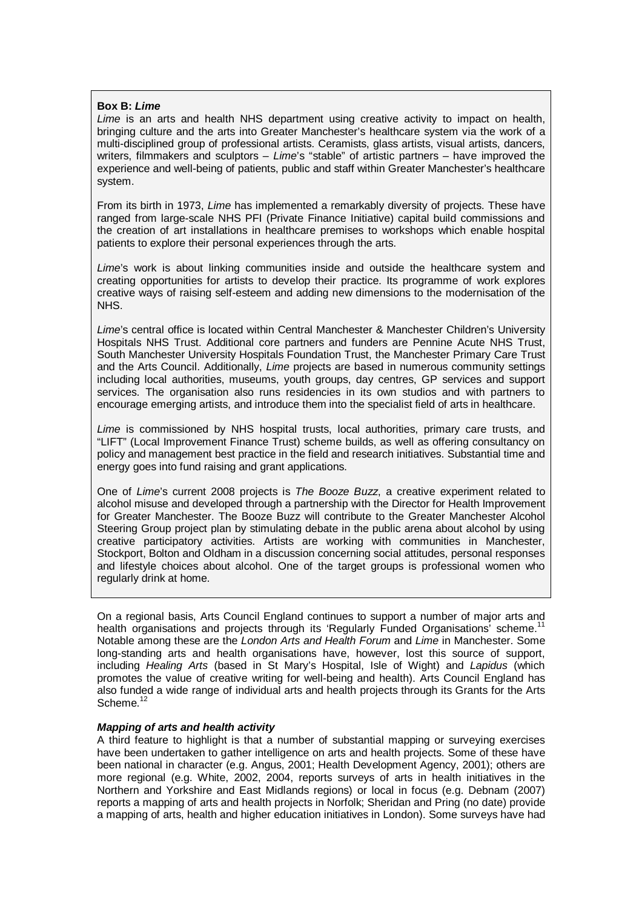# **Box B: Lime**

Lime is an arts and health NHS department using creative activity to impact on health, bringing culture and the arts into Greater Manchester's healthcare system via the work of a multi-disciplined group of professional artists. Ceramists, glass artists, visual artists, dancers, writers, filmmakers and sculptors –  $L$ ime's "stable" of artistic partners – have improved the experience and well-being of patients, public and staff within Greater Manchester's healthcare system.

From its birth in 1973, Lime has implemented a remarkably diversity of projects. These have ranged from large-scale NHS PFI (Private Finance Initiative) capital build commissions and the creation of art installations in healthcare premises to workshops which enable hospital patients to explore their personal experiences through the arts.

Lime's work is about linking communities inside and outside the healthcare system and creating opportunities for artists to develop their practice. Its programme of work explores creative ways of raising self-esteem and adding new dimensions to the modernisation of the NHS.

Lime's central office is located within Central Manchester & Manchester Children's University Hospitals NHS Trust. Additional core partners and funders are Pennine Acute NHS Trust, South Manchester University Hospitals Foundation Trust, the Manchester Primary Care Trust and the Arts Council. Additionally, Lime projects are based in numerous community settings including local authorities, museums, youth groups, day centres, GP services and support services. The organisation also runs residencies in its own studios and with partners to encourage emerging artists, and introduce them into the specialist field of arts in healthcare.

Lime is commissioned by NHS hospital trusts, local authorities, primary care trusts, and "LIFT" (Local Improvement Finance Trust) scheme builds, as well as offering consultancy on policy and management best practice in the field and research initiatives. Substantial time and energy goes into fund raising and grant applications.

One of Lime's current 2008 projects is The Booze Buzz, a creative experiment related to alcohol misuse and developed through a partnership with the Director for Health Improvement for Greater Manchester. The Booze Buzz will contribute to the Greater Manchester Alcohol Steering Group project plan by stimulating debate in the public arena about alcohol by using creative participatory activities. Artists are working with communities in Manchester, Stockport, Bolton and Oldham in a discussion concerning social attitudes, personal responses and lifestyle choices about alcohol. One of the target groups is professional women who regularly drink at home.

On a regional basis, Arts Council England continues to support a number of major arts and health organisations and projects through its 'Regularly Funded Organisations' scheme.<sup>11</sup> Notable among these are the London Arts and Health Forum and Lime in Manchester. Some long-standing arts and health organisations have, however, lost this source of support, including Healing Arts (based in St Mary's Hospital, Isle of Wight) and Lapidus (which promotes the value of creative writing for well-being and health). Arts Council England has also funded a wide range of individual arts and health projects through its Grants for the Arts Scheme.<sup>12</sup>

# **Mapping of arts and health activity**

A third feature to highlight is that a number of substantial mapping or surveying exercises have been undertaken to gather intelligence on arts and health projects. Some of these have been national in character (e.g. Angus, 2001; Health Development Agency, 2001); others are more regional (e.g. White, 2002, 2004, reports surveys of arts in health initiatives in the Northern and Yorkshire and East Midlands regions) or local in focus (e.g. Debnam (2007) reports a mapping of arts and health projects in Norfolk; Sheridan and Pring (no date) provide a mapping of arts, health and higher education initiatives in London). Some surveys have had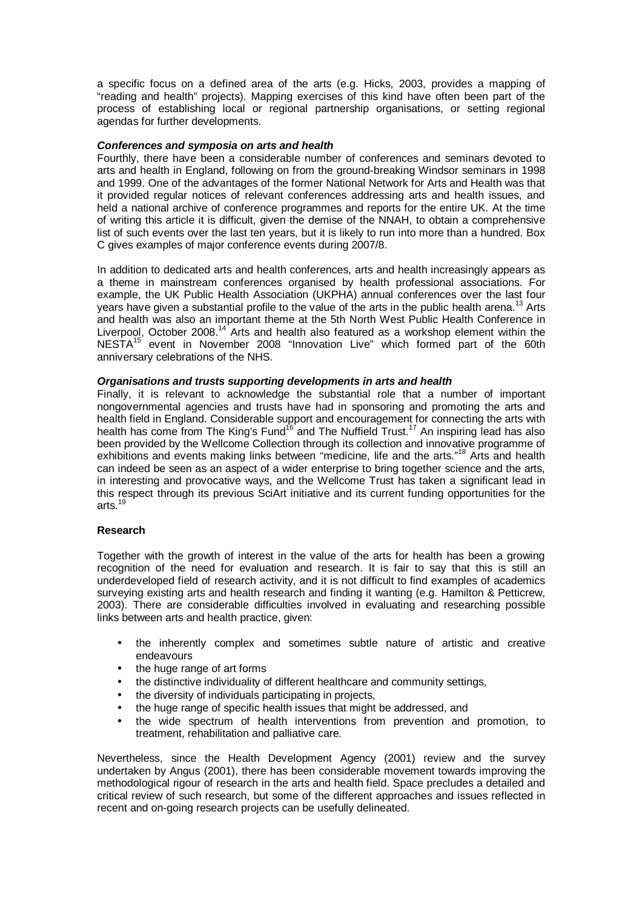a specific focus on a defined area of the arts (e.g. Hicks, 2003, provides a mapping of "reading and health" projects). Mapping exercises of this kind have often been part of the process of establishing local or regional partnership organisations, or setting regional agendas for further developments.

### **Conferences and symposia on arts and health**

Fourthly, there have been a considerable number of conferences and seminars devoted to arts and health in England, following on from the ground-breaking Windsor seminars in 1998 and 1999. One of the advantages of the former National Network for Arts and Health was that it provided regular notices of relevant conferences addressing arts and health issues, and held a national archive of conference programmes and reports for the entire UK. At the time of writing this article it is difficult, given the demise of the NNAH, to obtain a comprehensive list of such events over the last ten years, but it is likely to run into more than a hundred. Box C gives examples of major conference events during 2007/8.

In addition to dedicated arts and health conferences, arts and health increasingly appears as a theme in mainstream conferences organised by health professional associations. For example, the UK Public Health Association (UKPHA) annual conferences over the last four years have given a substantial profile to the value of the arts in the public health arena.<sup>13</sup> Arts and health was also an important theme at the 5th North West Public Health Conference in Liverpool, October 2008.<sup>14</sup> Arts and health also featured as a workshop element within the NESTA<sup>15</sup> event in November 2008 "Innovation Live" which formed part of the 60th anniversary celebrations of the NHS.

# **Organisations and trusts supporting developments in arts and health**

Finally, it is relevant to acknowledge the substantial role that a number of important nongovernmental agencies and trusts have had in sponsoring and promoting the arts and health field in England. Considerable support and encouragement for connecting the arts with health has come from The King's Fund<sup>16</sup> and The Nuffield Trust.<sup>17</sup> An inspiring lead has also been provided by the Wellcome Collection through its collection and innovative programme of exhibitions and events making links between "medicine, life and the arts."<sup>18</sup> Arts and health can indeed be seen as an aspect of a wider enterprise to bring together science and the arts, in interesting and provocative ways, and the Wellcome Trust has taken a significant lead in this respect through its previous SciArt initiative and its current funding opportunities for the arts.<sup>19</sup>

# **Research**

Together with the growth of interest in the value of the arts for health has been a growing recognition of the need for evaluation and research. It is fair to say that this is still an underdeveloped field of research activity, and it is not difficult to find examples of academics surveying existing arts and health research and finding it wanting (e.g. Hamilton & Petticrew, 2003). There are considerable difficulties involved in evaluating and researching possible links between arts and health practice, given:

- the inherently complex and sometimes subtle nature of artistic and creative endeavours
- the huge range of art forms
- the distinctive individuality of different healthcare and community settings,
- the diversity of individuals participating in projects,
- the huge range of specific health issues that might be addressed, and
- the wide spectrum of health interventions from prevention and promotion, to treatment, rehabilitation and palliative care.

Nevertheless, since the Health Development Agency (2001) review and the survey undertaken by Angus (2001), there has been considerable movement towards improving the methodological rigour of research in the arts and health field. Space precludes a detailed and critical review of such research, but some of the different approaches and issues reflected in recent and on-going research projects can be usefully delineated.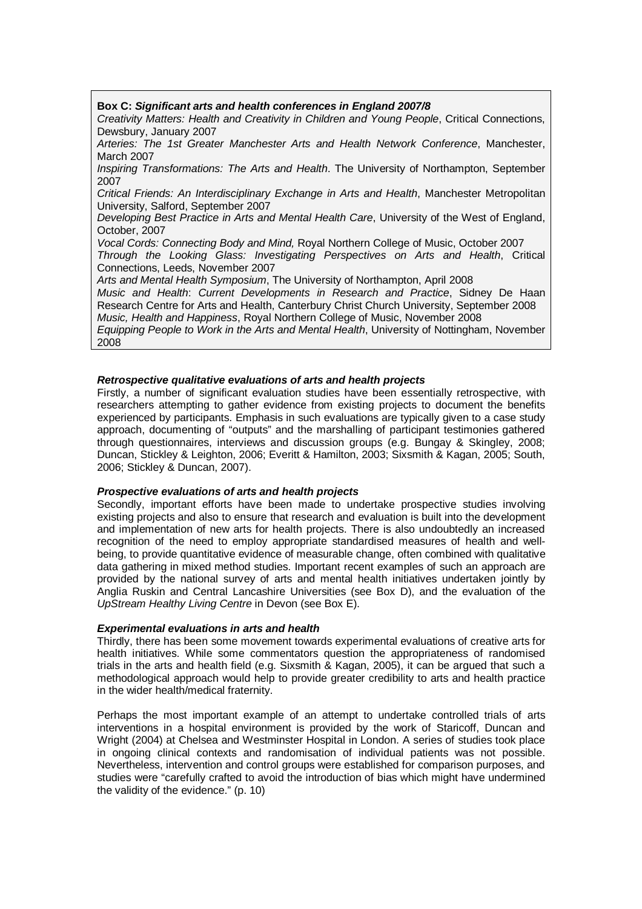# **Box C: Significant arts and health conferences in England 2007/8**

Creativity Matters: Health and Creativity in Children and Young People, Critical Connections, Dewsbury, January 2007

Arteries: The 1st Greater Manchester Arts and Health Network Conference, Manchester, March 2007

Inspiring Transformations: The Arts and Health. The University of Northampton, September 2007

Critical Friends: An Interdisciplinary Exchange in Arts and Health, Manchester Metropolitan University, Salford, September 2007

Developing Best Practice in Arts and Mental Health Care, University of the West of England, October, 2007

Vocal Cords: Connecting Body and Mind, Royal Northern College of Music, October 2007 Through the Looking Glass: Investigating Perspectives on Arts and Health, Critical Connections, Leeds, November 2007

Arts and Mental Health Symposium, The University of Northampton, April 2008

Music and Health: Current Developments in Research and Practice, Sidney De Haan Research Centre for Arts and Health, Canterbury Christ Church University, September 2008 Music, Health and Happiness, Royal Northern College of Music, November 2008

Equipping People to Work in the Arts and Mental Health, University of Nottingham, November 2008

### **Retrospective qualitative evaluations of arts and health projects**

Firstly, a number of significant evaluation studies have been essentially retrospective, with researchers attempting to gather evidence from existing projects to document the benefits experienced by participants. Emphasis in such evaluations are typically given to a case study approach, documenting of "outputs" and the marshalling of participant testimonies gathered through questionnaires, interviews and discussion groups (e.g. Bungay & Skingley, 2008; Duncan, Stickley & Leighton, 2006; Everitt & Hamilton, 2003; Sixsmith & Kagan, 2005; South, 2006; Stickley & Duncan, 2007).

### **Prospective evaluations of arts and health projects**

Secondly, important efforts have been made to undertake prospective studies involving existing projects and also to ensure that research and evaluation is built into the development and implementation of new arts for health projects. There is also undoubtedly an increased recognition of the need to employ appropriate standardised measures of health and wellbeing, to provide quantitative evidence of measurable change, often combined with qualitative data gathering in mixed method studies. Important recent examples of such an approach are provided by the national survey of arts and mental health initiatives undertaken jointly by Anglia Ruskin and Central Lancashire Universities (see Box D), and the evaluation of the UpStream Healthy Living Centre in Devon (see Box E).

### **Experimental evaluations in arts and health**

Thirdly, there has been some movement towards experimental evaluations of creative arts for health initiatives. While some commentators question the appropriateness of randomised trials in the arts and health field (e.g. Sixsmith & Kagan, 2005), it can be argued that such a methodological approach would help to provide greater credibility to arts and health practice in the wider health/medical fraternity.

Perhaps the most important example of an attempt to undertake controlled trials of arts interventions in a hospital environment is provided by the work of Staricoff, Duncan and Wright (2004) at Chelsea and Westminster Hospital in London. A series of studies took place in ongoing clinical contexts and randomisation of individual patients was not possible. Nevertheless, intervention and control groups were established for comparison purposes, and studies were "carefully crafted to avoid the introduction of bias which might have undermined the validity of the evidence." (p. 10)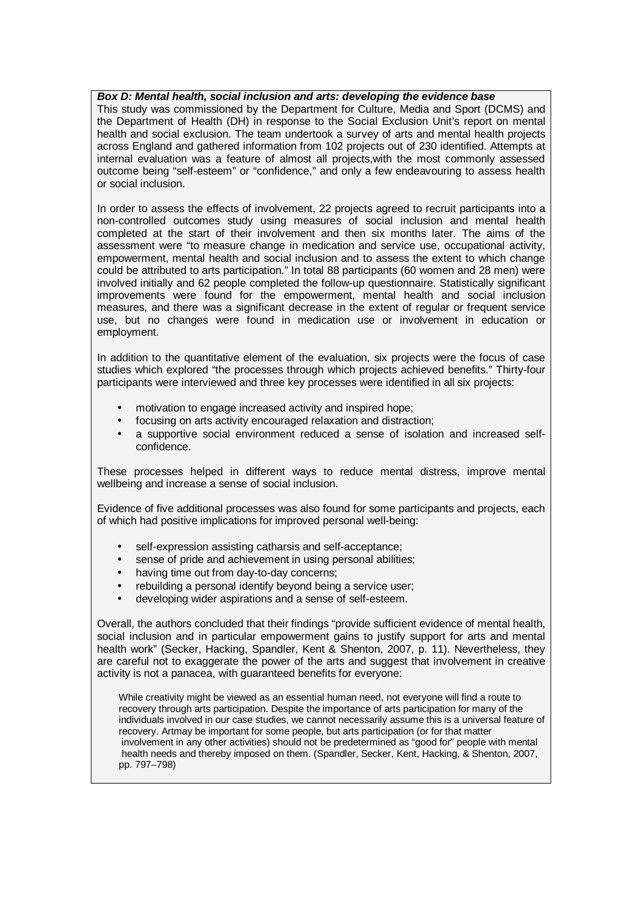# **Box D: Mental health, social inclusion and arts: developing the evidence base**

This study was commissioned by the Department for Culture, Media and Sport (DCMS) and the Department of Health (DH) in response to the Social Exclusion Unit's report on mental health and social exclusion. The team undertook a survey of arts and mental health projects across England and gathered information from 102 projects out of 230 identified. Attempts at internal evaluation was a feature of almost all projects,with the most commonly assessed outcome being "self-esteem" or "confidence," and only a few endeavouring to assess health or social inclusion.

In order to assess the effects of involvement, 22 projects agreed to recruit participants into a non-controlled outcomes study using measures of social inclusion and mental health completed at the start of their involvement and then six months later. The aims of the assessment were "to measure change in medication and service use, occupational activity, empowerment, mental health and social inclusion and to assess the extent to which change could be attributed to arts participation." In total 88 participants (60 women and 28 men) were involved initially and 62 people completed the follow-up questionnaire. Statistically significant improvements were found for the empowerment, mental health and social inclusion measures, and there was a significant decrease in the extent of regular or frequent service use, but no changes were found in medication use or involvement in education or employment.

In addition to the quantitative element of the evaluation, six projects were the focus of case studies which explored "the processes through which projects achieved benefits." Thirty-four participants were interviewed and three key processes were identified in all six projects:

- motivation to engage increased activity and inspired hope;
- focusing on arts activity encouraged relaxation and distraction;
- a supportive social environment reduced a sense of isolation and increased selfconfidence.

These processes helped in different ways to reduce mental distress, improve mental wellbeing and increase a sense of social inclusion.

Evidence of five additional processes was also found for some participants and projects, each of which had positive implications for improved personal well-being:

- self-expression assisting catharsis and self-acceptance;
- sense of pride and achievement in using personal abilities;
- having time out from day-to-day concerns;
- rebuilding a personal identify beyond being a service user;
- developing wider aspirations and a sense of self-esteem.

Overall, the authors concluded that their findings "provide sufficient evidence of mental health, social inclusion and in particular empowerment gains to justify support for arts and mental health work" (Secker, Hacking, Spandler, Kent & Shenton, 2007, p. 11). Nevertheless, they are careful not to exaggerate the power of the arts and suggest that involvement in creative activity is not a panacea, with guaranteed benefits for everyone:

 While creativity might be viewed as an essential human need, not everyone will find a route to recovery through arts participation. Despite the importance of arts participation for many of the individuals involved in our case studies, we cannot necessarily assume this is a universal feature of recovery. Artmay be important for some people, but arts participation (or for that matter involvement in any other activities) should not be predetermined as "good for" people with mental health needs and thereby imposed on them. (Spandler, Secker, Kent, Hacking, & Shenton, 2007, pp. 797–798)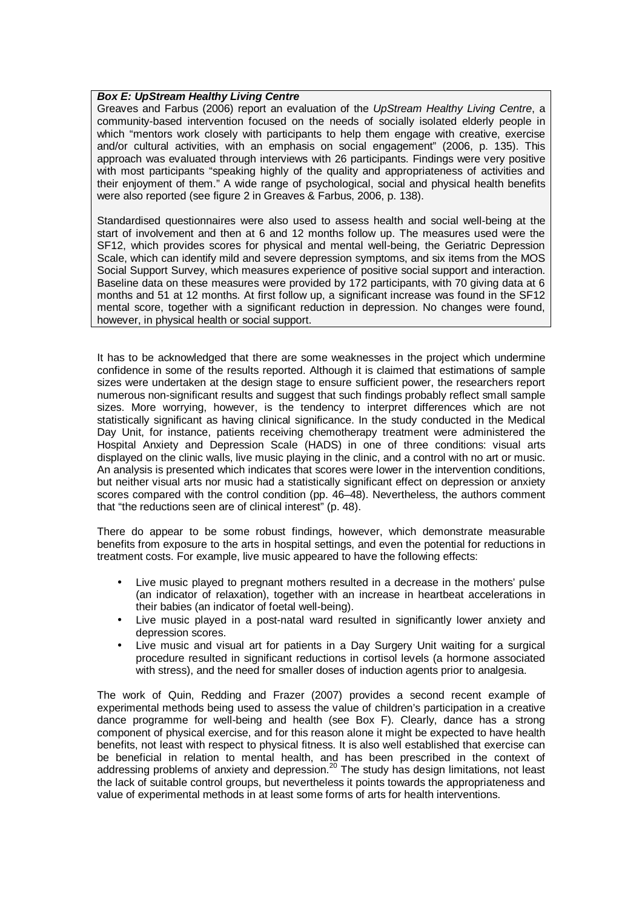# **Box E: UpStream Healthy Living Centre**

Greaves and Farbus (2006) report an evaluation of the UpStream Healthy Living Centre, a community-based intervention focused on the needs of socially isolated elderly people in which "mentors work closely with participants to help them engage with creative, exercise and/or cultural activities, with an emphasis on social engagement" (2006, p. 135). This approach was evaluated through interviews with 26 participants. Findings were very positive with most participants "speaking highly of the quality and appropriateness of activities and their enjoyment of them." A wide range of psychological, social and physical health benefits were also reported (see figure 2 in Greaves & Farbus, 2006, p. 138).

Standardised questionnaires were also used to assess health and social well-being at the start of involvement and then at 6 and 12 months follow up. The measures used were the SF12, which provides scores for physical and mental well-being, the Geriatric Depression Scale, which can identify mild and severe depression symptoms, and six items from the MOS Social Support Survey, which measures experience of positive social support and interaction. Baseline data on these measures were provided by 172 participants, with 70 giving data at 6 months and 51 at 12 months. At first follow up, a significant increase was found in the SF12 mental score, together with a significant reduction in depression. No changes were found, however, in physical health or social support.

It has to be acknowledged that there are some weaknesses in the project which undermine confidence in some of the results reported. Although it is claimed that estimations of sample sizes were undertaken at the design stage to ensure sufficient power, the researchers report numerous non-significant results and suggest that such findings probably reflect small sample sizes. More worrying, however, is the tendency to interpret differences which are not statistically significant as having clinical significance. In the study conducted in the Medical Day Unit, for instance, patients receiving chemotherapy treatment were administered the Hospital Anxiety and Depression Scale (HADS) in one of three conditions: visual arts displayed on the clinic walls, live music playing in the clinic, and a control with no art or music. An analysis is presented which indicates that scores were lower in the intervention conditions, but neither visual arts nor music had a statistically significant effect on depression or anxiety scores compared with the control condition (pp. 46–48). Nevertheless, the authors comment that "the reductions seen are of clinical interest" (p. 48).

There do appear to be some robust findings, however, which demonstrate measurable benefits from exposure to the arts in hospital settings, and even the potential for reductions in treatment costs. For example, live music appeared to have the following effects:

- Live music played to pregnant mothers resulted in a decrease in the mothers' pulse (an indicator of relaxation), together with an increase in heartbeat accelerations in their babies (an indicator of foetal well-being).
- Live music played in a post-natal ward resulted in significantly lower anxiety and depression scores.
- Live music and visual art for patients in a Day Surgery Unit waiting for a surgical procedure resulted in significant reductions in cortisol levels (a hormone associated with stress), and the need for smaller doses of induction agents prior to analgesia.

The work of Quin, Redding and Frazer (2007) provides a second recent example of experimental methods being used to assess the value of children's participation in a creative dance programme for well-being and health (see Box F). Clearly, dance has a strong component of physical exercise, and for this reason alone it might be expected to have health benefits, not least with respect to physical fitness. It is also well established that exercise can be beneficial in relation to mental health, and has been prescribed in the context of addressing problems of anxiety and depression. $^{20}$  The study has design limitations, not least the lack of suitable control groups, but nevertheless it points towards the appropriateness and value of experimental methods in at least some forms of arts for health interventions.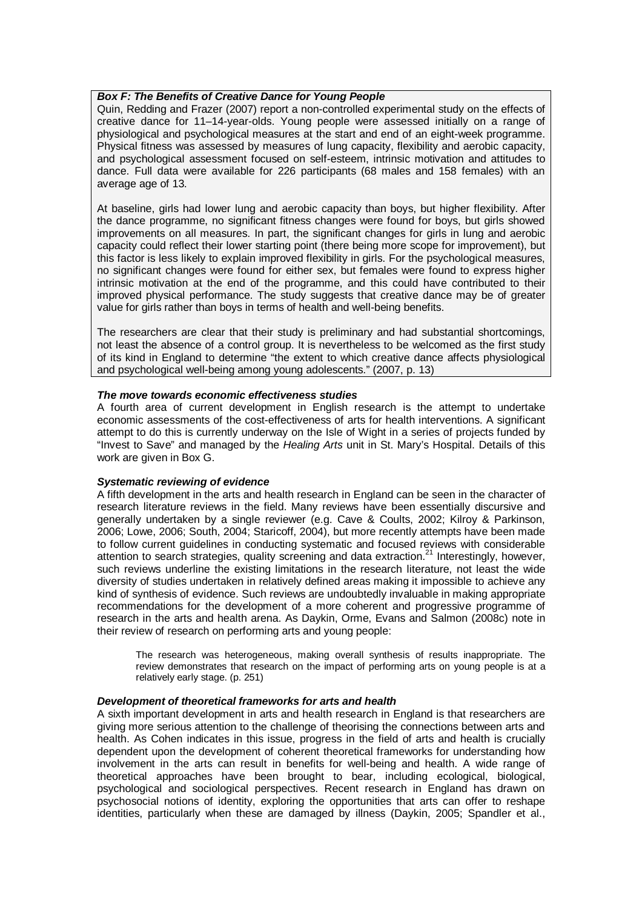# **Box F: The Benefits of Creative Dance for Young People**

Quin, Redding and Frazer (2007) report a non-controlled experimental study on the effects of creative dance for 11–14-year-olds. Young people were assessed initially on a range of physiological and psychological measures at the start and end of an eight-week programme. Physical fitness was assessed by measures of lung capacity, flexibility and aerobic capacity, and psychological assessment focused on self-esteem, intrinsic motivation and attitudes to dance. Full data were available for 226 participants (68 males and 158 females) with an average age of 13.

At baseline, girls had lower lung and aerobic capacity than boys, but higher flexibility. After the dance programme, no significant fitness changes were found for boys, but girls showed improvements on all measures. In part, the significant changes for girls in lung and aerobic capacity could reflect their lower starting point (there being more scope for improvement), but this factor is less likely to explain improved flexibility in girls. For the psychological measures, no significant changes were found for either sex, but females were found to express higher intrinsic motivation at the end of the programme, and this could have contributed to their improved physical performance. The study suggests that creative dance may be of greater value for girls rather than boys in terms of health and well-being benefits.

The researchers are clear that their study is preliminary and had substantial shortcomings, not least the absence of a control group. It is nevertheless to be welcomed as the first study of its kind in England to determine "the extent to which creative dance affects physiological and psychological well-being among young adolescents." (2007, p. 13)

# **The move towards economic effectiveness studies**

A fourth area of current development in English research is the attempt to undertake economic assessments of the cost-effectiveness of arts for health interventions. A significant attempt to do this is currently underway on the Isle of Wight in a series of projects funded by "Invest to Save" and managed by the Healing Arts unit in St. Mary's Hospital. Details of this work are given in Box G.

# **Systematic reviewing of evidence**

A fifth development in the arts and health research in England can be seen in the character of research literature reviews in the field. Many reviews have been essentially discursive and generally undertaken by a single reviewer (e.g. Cave & Coults, 2002; Kilroy & Parkinson, 2006; Lowe, 2006; South, 2004; Staricoff, 2004), but more recently attempts have been made to follow current guidelines in conducting systematic and focused reviews with considerable attention to search strategies, quality screening and data extraction.<sup>21</sup> Interestingly, however, such reviews underline the existing limitations in the research literature, not least the wide diversity of studies undertaken in relatively defined areas making it impossible to achieve any kind of synthesis of evidence. Such reviews are undoubtedly invaluable in making appropriate recommendations for the development of a more coherent and progressive programme of research in the arts and health arena. As Daykin, Orme, Evans and Salmon (2008c) note in their review of research on performing arts and young people:

The research was heterogeneous, making overall synthesis of results inappropriate. The review demonstrates that research on the impact of performing arts on young people is at a relatively early stage. (p. 251)

#### **Development of theoretical frameworks for arts and health**

A sixth important development in arts and health research in England is that researchers are giving more serious attention to the challenge of theorising the connections between arts and health. As Cohen indicates in this issue, progress in the field of arts and health is crucially dependent upon the development of coherent theoretical frameworks for understanding how involvement in the arts can result in benefits for well-being and health. A wide range of theoretical approaches have been brought to bear, including ecological, biological, psychological and sociological perspectives. Recent research in England has drawn on psychosocial notions of identity, exploring the opportunities that arts can offer to reshape identities, particularly when these are damaged by illness (Daykin, 2005; Spandler et al.,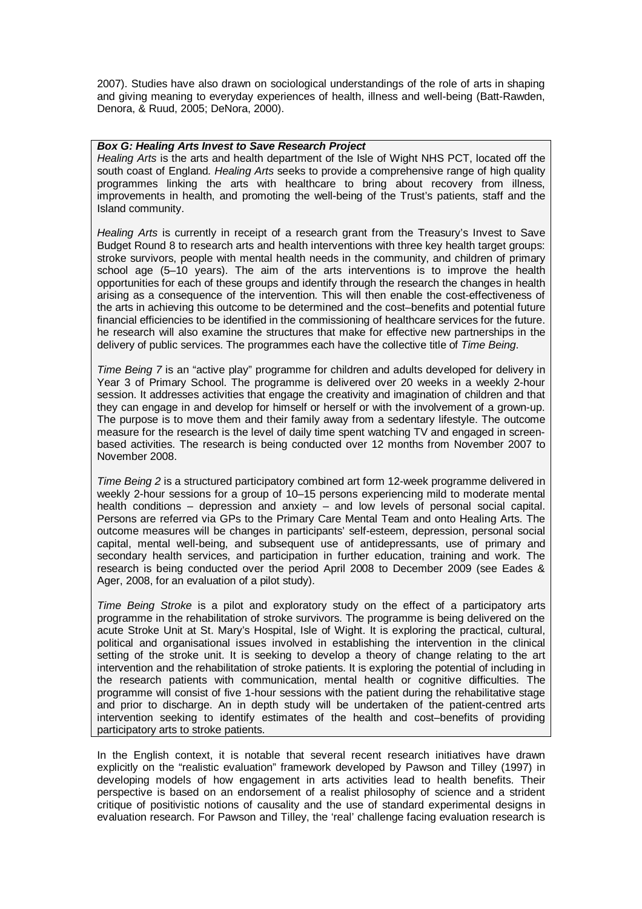2007). Studies have also drawn on sociological understandings of the role of arts in shaping and giving meaning to everyday experiences of health, illness and well-being (Batt-Rawden, Denora, & Ruud, 2005; DeNora, 2000).

### **Box G: Healing Arts Invest to Save Research Project**

Healing Arts is the arts and health department of the Isle of Wight NHS PCT, located off the south coast of England. Healing Arts seeks to provide a comprehensive range of high quality programmes linking the arts with healthcare to bring about recovery from illness, improvements in health, and promoting the well-being of the Trust's patients, staff and the Island community.

Healing Arts is currently in receipt of a research grant from the Treasury's Invest to Save Budget Round 8 to research arts and health interventions with three key health target groups: stroke survivors, people with mental health needs in the community, and children of primary school age (5–10 years). The aim of the arts interventions is to improve the health opportunities for each of these groups and identify through the research the changes in health arising as a consequence of the intervention. This will then enable the cost-effectiveness of the arts in achieving this outcome to be determined and the cost–benefits and potential future financial efficiencies to be identified in the commissioning of healthcare services for the future. he research will also examine the structures that make for effective new partnerships in the delivery of public services. The programmes each have the collective title of Time Being.

Time Being 7 is an "active play" programme for children and adults developed for delivery in Year 3 of Primary School. The programme is delivered over 20 weeks in a weekly 2-hour session. It addresses activities that engage the creativity and imagination of children and that they can engage in and develop for himself or herself or with the involvement of a grown-up. The purpose is to move them and their family away from a sedentary lifestyle. The outcome measure for the research is the level of daily time spent watching TV and engaged in screenbased activities. The research is being conducted over 12 months from November 2007 to November 2008.

Time Being 2 is a structured participatory combined art form 12-week programme delivered in weekly 2-hour sessions for a group of 10–15 persons experiencing mild to moderate mental health conditions – depression and anxiety – and low levels of personal social capital. Persons are referred via GPs to the Primary Care Mental Team and onto Healing Arts. The outcome measures will be changes in participants' self-esteem, depression, personal social capital, mental well-being, and subsequent use of antidepressants, use of primary and secondary health services, and participation in further education, training and work. The research is being conducted over the period April 2008 to December 2009 (see Eades & Ager, 2008, for an evaluation of a pilot study).

Time Being Stroke is a pilot and exploratory study on the effect of a participatory arts programme in the rehabilitation of stroke survivors. The programme is being delivered on the acute Stroke Unit at St. Mary's Hospital, Isle of Wight. It is exploring the practical, cultural, political and organisational issues involved in establishing the intervention in the clinical setting of the stroke unit. It is seeking to develop a theory of change relating to the art intervention and the rehabilitation of stroke patients. It is exploring the potential of including in the research patients with communication, mental health or cognitive difficulties. The programme will consist of five 1-hour sessions with the patient during the rehabilitative stage and prior to discharge. An in depth study will be undertaken of the patient-centred arts intervention seeking to identify estimates of the health and cost–benefits of providing participatory arts to stroke patients.

In the English context, it is notable that several recent research initiatives have drawn explicitly on the "realistic evaluation" framework developed by Pawson and Tilley (1997) in developing models of how engagement in arts activities lead to health benefits. Their perspective is based on an endorsement of a realist philosophy of science and a strident critique of positivistic notions of causality and the use of standard experimental designs in evaluation research. For Pawson and Tilley, the 'real' challenge facing evaluation research is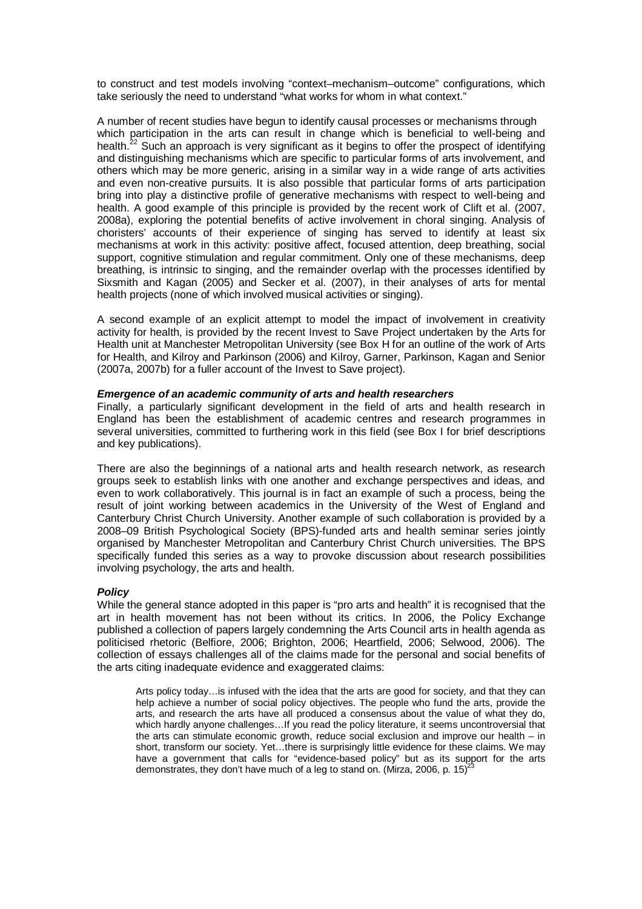to construct and test models involving "context–mechanism–outcome" configurations, which take seriously the need to understand "what works for whom in what context."

A number of recent studies have begun to identify causal processes or mechanisms through which participation in the arts can result in change which is beneficial to well-being and health.<sup>22</sup> Such an approach is very significant as it begins to offer the prospect of identifying and distinguishing mechanisms which are specific to particular forms of arts involvement, and others which may be more generic, arising in a similar way in a wide range of arts activities and even non-creative pursuits. It is also possible that particular forms of arts participation bring into play a distinctive profile of generative mechanisms with respect to well-being and health. A good example of this principle is provided by the recent work of Clift et al. (2007, 2008a), exploring the potential benefits of active involvement in choral singing. Analysis of choristers' accounts of their experience of singing has served to identify at least six mechanisms at work in this activity: positive affect, focused attention, deep breathing, social support, cognitive stimulation and regular commitment. Only one of these mechanisms, deep breathing, is intrinsic to singing, and the remainder overlap with the processes identified by Sixsmith and Kagan (2005) and Secker et al. (2007), in their analyses of arts for mental health projects (none of which involved musical activities or singing).

A second example of an explicit attempt to model the impact of involvement in creativity activity for health, is provided by the recent Invest to Save Project undertaken by the Arts for Health unit at Manchester Metropolitan University (see Box H for an outline of the work of Arts for Health, and Kilroy and Parkinson (2006) and Kilroy, Garner, Parkinson, Kagan and Senior (2007a, 2007b) for a fuller account of the Invest to Save project).

# **Emergence of an academic community of arts and health researchers**

Finally, a particularly significant development in the field of arts and health research in England has been the establishment of academic centres and research programmes in several universities, committed to furthering work in this field (see Box I for brief descriptions and key publications).

There are also the beginnings of a national arts and health research network, as research groups seek to establish links with one another and exchange perspectives and ideas, and even to work collaboratively. This journal is in fact an example of such a process, being the result of joint working between academics in the University of the West of England and Canterbury Christ Church University. Another example of such collaboration is provided by a 2008–09 British Psychological Society (BPS)-funded arts and health seminar series jointly organised by Manchester Metropolitan and Canterbury Christ Church universities. The BPS specifically funded this series as a way to provoke discussion about research possibilities involving psychology, the arts and health.

# **Policy**

While the general stance adopted in this paper is "pro arts and health" it is recognised that the art in health movement has not been without its critics. In 2006, the Policy Exchange published a collection of papers largely condemning the Arts Council arts in health agenda as politicised rhetoric (Belfiore, 2006; Brighton, 2006; Heartfield, 2006; Selwood, 2006). The collection of essays challenges all of the claims made for the personal and social benefits of the arts citing inadequate evidence and exaggerated claims:

Arts policy today…is infused with the idea that the arts are good for society, and that they can help achieve a number of social policy objectives. The people who fund the arts, provide the arts, and research the arts have all produced a consensus about the value of what they do, which hardly anyone challenges…If you read the policy literature, it seems uncontroversial that the arts can stimulate economic growth, reduce social exclusion and improve our health – in short, transform our society. Yet…there is surprisingly little evidence for these claims. We may have a government that calls for "evidence-based policy" but as its support for the arts demonstrates, they don't have much of a leg to stand on. (Mirza, 2006, p. 15)<sup>2</sup>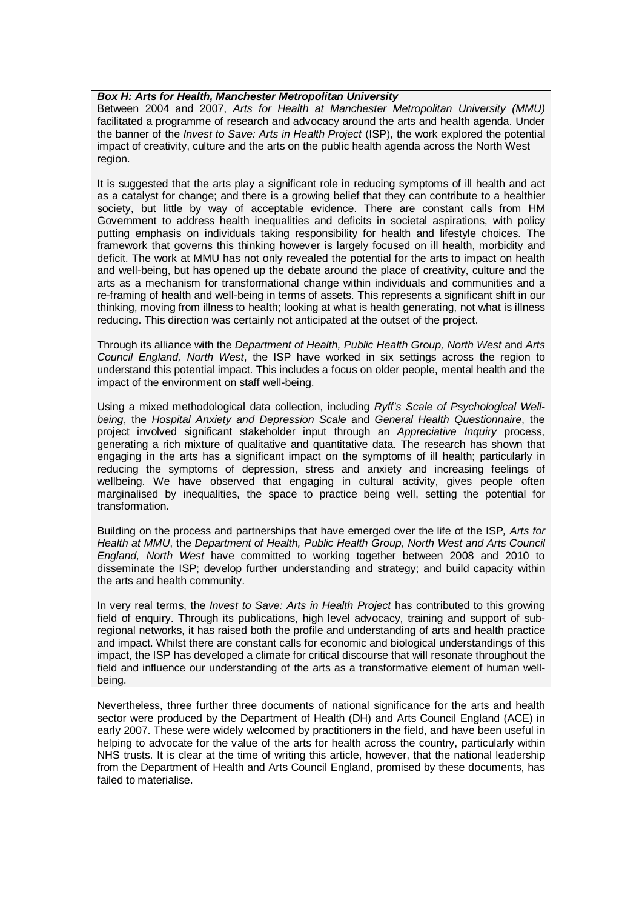# **Box H: Arts for Health, Manchester Metropolitan University**

Between 2004 and 2007, Arts for Health at Manchester Metropolitan University (MMU) facilitated a programme of research and advocacy around the arts and health agenda. Under the banner of the Invest to Save: Arts in Health Project (ISP), the work explored the potential impact of creativity, culture and the arts on the public health agenda across the North West region.

It is suggested that the arts play a significant role in reducing symptoms of ill health and act as a catalyst for change; and there is a growing belief that they can contribute to a healthier society, but little by way of acceptable evidence. There are constant calls from HM Government to address health inequalities and deficits in societal aspirations, with policy putting emphasis on individuals taking responsibility for health and lifestyle choices. The framework that governs this thinking however is largely focused on ill health, morbidity and deficit. The work at MMU has not only revealed the potential for the arts to impact on health and well-being, but has opened up the debate around the place of creativity, culture and the arts as a mechanism for transformational change within individuals and communities and a re-framing of health and well-being in terms of assets. This represents a significant shift in our thinking, moving from illness to health; looking at what is health generating, not what is illness reducing. This direction was certainly not anticipated at the outset of the project.

Through its alliance with the Department of Health, Public Health Group, North West and Arts Council England, North West, the ISP have worked in six settings across the region to understand this potential impact. This includes a focus on older people, mental health and the impact of the environment on staff well-being.

Using a mixed methodological data collection, including Ryff's Scale of Psychological Wellbeing, the Hospital Anxiety and Depression Scale and General Health Questionnaire, the project involved significant stakeholder input through an Appreciative Inquiry process, generating a rich mixture of qualitative and quantitative data. The research has shown that engaging in the arts has a significant impact on the symptoms of ill health; particularly in reducing the symptoms of depression, stress and anxiety and increasing feelings of wellbeing. We have observed that engaging in cultural activity, gives people often marginalised by inequalities, the space to practice being well, setting the potential for transformation.

Building on the process and partnerships that have emerged over the life of the ISP, Arts for Health at MMU, the Department of Health, Public Health Group, North West and Arts Council England, North West have committed to working together between 2008 and 2010 to disseminate the ISP; develop further understanding and strategy; and build capacity within the arts and health community.

In very real terms, the *Invest to Save: Arts in Health Project* has contributed to this growing field of enquiry. Through its publications, high level advocacy, training and support of subregional networks, it has raised both the profile and understanding of arts and health practice and impact. Whilst there are constant calls for economic and biological understandings of this impact, the ISP has developed a climate for critical discourse that will resonate throughout the field and influence our understanding of the arts as a transformative element of human wellbeing.

Nevertheless, three further three documents of national significance for the arts and health sector were produced by the Department of Health (DH) and Arts Council England (ACE) in early 2007. These were widely welcomed by practitioners in the field, and have been useful in helping to advocate for the value of the arts for health across the country, particularly within NHS trusts. It is clear at the time of writing this article, however, that the national leadership from the Department of Health and Arts Council England, promised by these documents, has failed to materialise.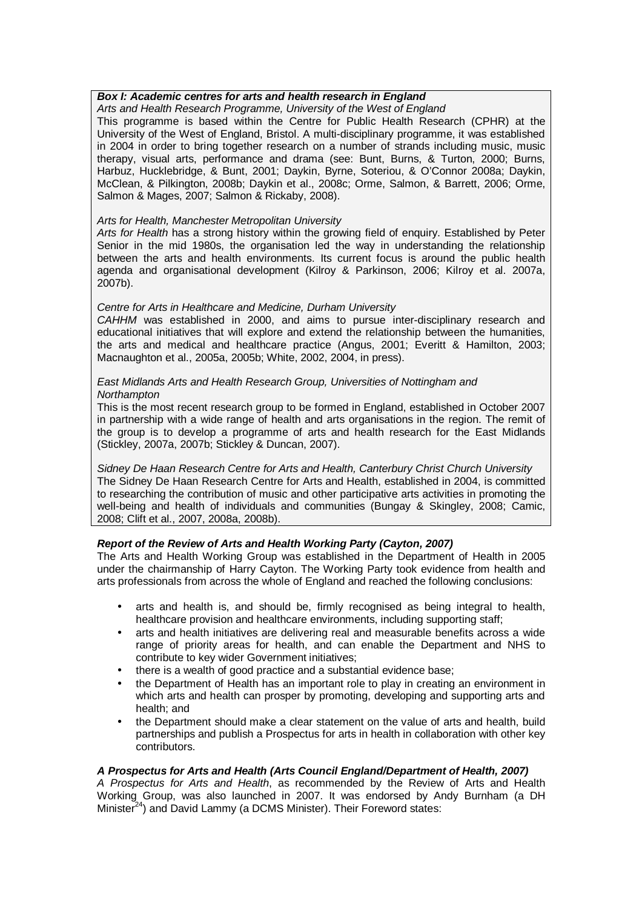# **Box I: Academic centres for arts and health research in England**

# Arts and Health Research Programme, University of the West of England

This programme is based within the Centre for Public Health Research (CPHR) at the University of the West of England, Bristol. A multi-disciplinary programme, it was established in 2004 in order to bring together research on a number of strands including music, music therapy, visual arts, performance and drama (see: Bunt, Burns, & Turton, 2000; Burns, Harbuz, Hucklebridge, & Bunt, 2001; Daykin, Byrne, Soteriou, & O'Connor 2008a; Daykin, McClean, & Pilkington, 2008b; Daykin et al., 2008c; Orme, Salmon, & Barrett, 2006; Orme, Salmon & Mages, 2007; Salmon & Rickaby, 2008).

# Arts for Health, Manchester Metropolitan University

Arts for Health has a strong history within the growing field of enguiry. Established by Peter Senior in the mid 1980s, the organisation led the way in understanding the relationship between the arts and health environments. Its current focus is around the public health agenda and organisational development (Kilroy & Parkinson, 2006; Kilroy et al. 2007a, 2007b).

# Centre for Arts in Healthcare and Medicine, Durham University

CAHHM was established in 2000, and aims to pursue inter-disciplinary research and educational initiatives that will explore and extend the relationship between the humanities, the arts and medical and healthcare practice (Angus, 2001; Everitt & Hamilton, 2003; Macnaughton et al., 2005a, 2005b; White, 2002, 2004, in press).

# East Midlands Arts and Health Research Group, Universities of Nottingham and **Northampton**

This is the most recent research group to be formed in England, established in October 2007 in partnership with a wide range of health and arts organisations in the region. The remit of the group is to develop a programme of arts and health research for the East Midlands (Stickley, 2007a, 2007b; Stickley & Duncan, 2007).

Sidney De Haan Research Centre for Arts and Health, Canterbury Christ Church University The Sidney De Haan Research Centre for Arts and Health, established in 2004, is committed to researching the contribution of music and other participative arts activities in promoting the well-being and health of individuals and communities (Bungay & Skingley, 2008; Camic, 2008; Clift et al., 2007, 2008a, 2008b).

# **Report of the Review of Arts and Health Working Party (Cayton, 2007)**

The Arts and Health Working Group was established in the Department of Health in 2005 under the chairmanship of Harry Cayton. The Working Party took evidence from health and arts professionals from across the whole of England and reached the following conclusions:

- arts and health is, and should be, firmly recognised as being integral to health, healthcare provision and healthcare environments, including supporting staff;
- arts and health initiatives are delivering real and measurable benefits across a wide range of priority areas for health, and can enable the Department and NHS to contribute to key wider Government initiatives;
- there is a wealth of good practice and a substantial evidence base;
- the Department of Health has an important role to play in creating an environment in which arts and health can prosper by promoting, developing and supporting arts and health; and
- the Department should make a clear statement on the value of arts and health, build partnerships and publish a Prospectus for arts in health in collaboration with other key contributors.

# **A Prospectus for Arts and Health (Arts Council England/Department of Health, 2007)**

A Prospectus for Arts and Health, as recommended by the Review of Arts and Health Working Group, was also launched in 2007. It was endorsed by Andy Burnham (a DH Minister $^{24}$ ) and David Lammy (a DCMS Minister). Their Foreword states: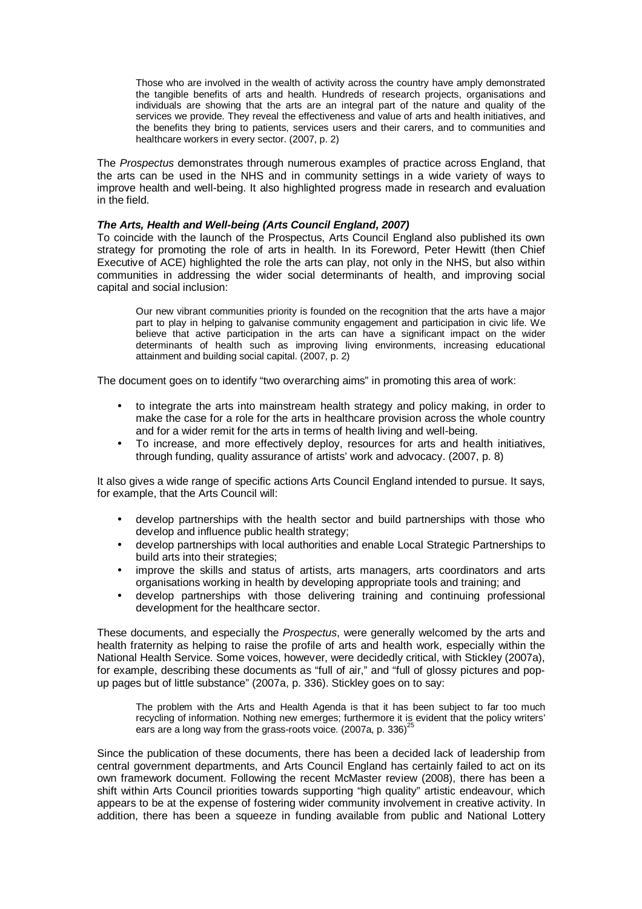Those who are involved in the wealth of activity across the country have amply demonstrated the tangible benefits of arts and health. Hundreds of research projects, organisations and individuals are showing that the arts are an integral part of the nature and quality of the services we provide. They reveal the effectiveness and value of arts and health initiatives, and the benefits they bring to patients, services users and their carers, and to communities and healthcare workers in every sector. (2007, p. 2)

The Prospectus demonstrates through numerous examples of practice across England, that the arts can be used in the NHS and in community settings in a wide variety of ways to improve health and well-being. It also highlighted progress made in research and evaluation in the field.

# **The Arts, Health and Well-being (Arts Council England, 2007)**

To coincide with the launch of the Prospectus, Arts Council England also published its own strategy for promoting the role of arts in health. In its Foreword, Peter Hewitt (then Chief Executive of ACE) highlighted the role the arts can play, not only in the NHS, but also within communities in addressing the wider social determinants of health, and improving social capital and social inclusion:

Our new vibrant communities priority is founded on the recognition that the arts have a major part to play in helping to galvanise community engagement and participation in civic life. We believe that active participation in the arts can have a significant impact on the wider determinants of health such as improving living environments, increasing educational attainment and building social capital. (2007, p. 2)

The document goes on to identify "two overarching aims" in promoting this area of work:

- to integrate the arts into mainstream health strategy and policy making, in order to make the case for a role for the arts in healthcare provision across the whole country and for a wider remit for the arts in terms of health living and well-being.
- To increase, and more effectively deploy, resources for arts and health initiatives, through funding, quality assurance of artists' work and advocacy. (2007, p. 8)

It also gives a wide range of specific actions Arts Council England intended to pursue. It says, for example, that the Arts Council will:

- develop partnerships with the health sector and build partnerships with those who develop and influence public health strategy;
- develop partnerships with local authorities and enable Local Strategic Partnerships to build arts into their strategies;
- improve the skills and status of artists, arts managers, arts coordinators and arts organisations working in health by developing appropriate tools and training; and
- develop partnerships with those delivering training and continuing professional development for the healthcare sector.

These documents, and especially the Prospectus, were generally welcomed by the arts and health fraternity as helping to raise the profile of arts and health work, especially within the National Health Service. Some voices, however, were decidedly critical, with Stickley (2007a), for example, describing these documents as "full of air," and "full of glossy pictures and popup pages but of little substance" (2007a, p. 336). Stickley goes on to say:

The problem with the Arts and Health Agenda is that it has been subject to far too much recycling of information. Nothing new emerges; furthermore it is evident that the policy writers' ears are a long way from the grass-roots voice. (2007a, p. 336) $^{25}$ 

Since the publication of these documents, there has been a decided lack of leadership from central government departments, and Arts Council England has certainly failed to act on its own framework document. Following the recent McMaster review (2008), there has been a shift within Arts Council priorities towards supporting "high quality" artistic endeavour, which appears to be at the expense of fostering wider community involvement in creative activity. In addition, there has been a squeeze in funding available from public and National Lottery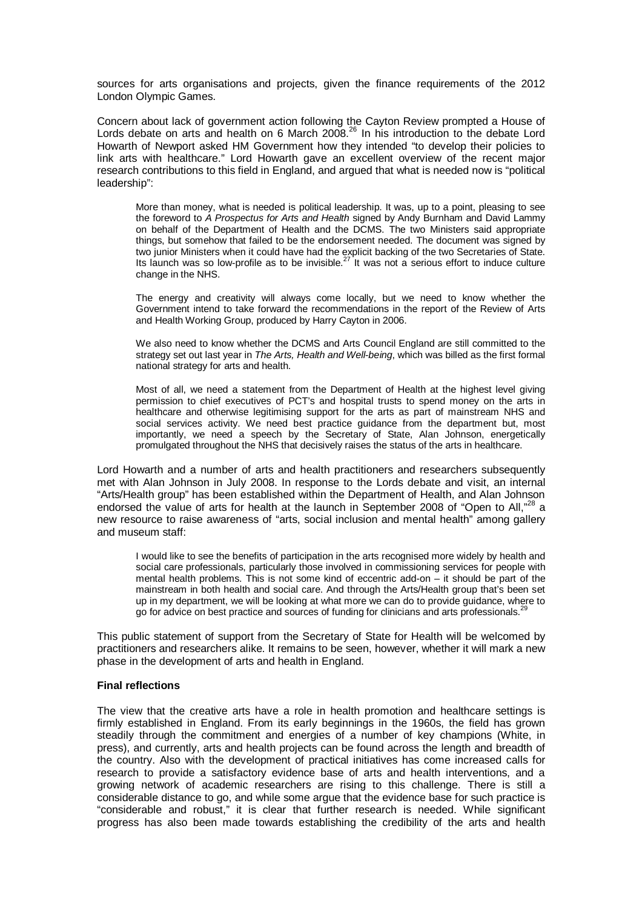sources for arts organisations and projects, given the finance requirements of the 2012 London Olympic Games.

Concern about lack of government action following the Cayton Review prompted a House of Lords debate on arts and health on 6 March 2008.<sup>26</sup> In his introduction to the debate Lord Howarth of Newport asked HM Government how they intended "to develop their policies to link arts with healthcare." Lord Howarth gave an excellent overview of the recent major research contributions to this field in England, and argued that what is needed now is "political leadership":

More than money, what is needed is political leadership. It was, up to a point, pleasing to see the foreword to A Prospectus for Arts and Health signed by Andy Burnham and David Lammy on behalf of the Department of Health and the DCMS. The two Ministers said appropriate things, but somehow that failed to be the endorsement needed. The document was signed by two junior Ministers when it could have had the explicit backing of the two Secretaries of State. Its launch was so low-profile as to be invisible.<sup>27</sup> It was not a serious effort to induce culture change in the NHS.

The energy and creativity will always come locally, but we need to know whether the Government intend to take forward the recommendations in the report of the Review of Arts and Health Working Group, produced by Harry Cayton in 2006.

We also need to know whether the DCMS and Arts Council England are still committed to the strategy set out last year in The Arts, Health and Well-being, which was billed as the first formal national strategy for arts and health.

Most of all, we need a statement from the Department of Health at the highest level giving permission to chief executives of PCT's and hospital trusts to spend money on the arts in healthcare and otherwise legitimising support for the arts as part of mainstream NHS and social services activity. We need best practice guidance from the department but, most importantly, we need a speech by the Secretary of State, Alan Johnson, energetically promulgated throughout the NHS that decisively raises the status of the arts in healthcare.

Lord Howarth and a number of arts and health practitioners and researchers subsequently met with Alan Johnson in July 2008. In response to the Lords debate and visit, an internal "Arts/Health group" has been established within the Department of Health, and Alan Johnson endorsed the value of arts for health at the launch in September 2008 of "Open to All,"<sup>28</sup> a new resource to raise awareness of "arts, social inclusion and mental health" among gallery and museum staff:

I would like to see the benefits of participation in the arts recognised more widely by health and social care professionals, particularly those involved in commissioning services for people with mental health problems. This is not some kind of eccentric add-on – it should be part of the mainstream in both health and social care. And through the Arts/Health group that's been set up in my department, we will be looking at what more we can do to provide guidance, where to go for advice on best practice and sources of funding for clinicians and arts professionals.<sup>29</sup>

This public statement of support from the Secretary of State for Health will be welcomed by practitioners and researchers alike. It remains to be seen, however, whether it will mark a new phase in the development of arts and health in England.

#### **Final reflections**

The view that the creative arts have a role in health promotion and healthcare settings is firmly established in England. From its early beginnings in the 1960s, the field has grown steadily through the commitment and energies of a number of key champions (White, in press), and currently, arts and health projects can be found across the length and breadth of the country. Also with the development of practical initiatives has come increased calls for research to provide a satisfactory evidence base of arts and health interventions, and a growing network of academic researchers are rising to this challenge. There is still a considerable distance to go, and while some argue that the evidence base for such practice is "considerable and robust," it is clear that further research is needed. While significant progress has also been made towards establishing the credibility of the arts and health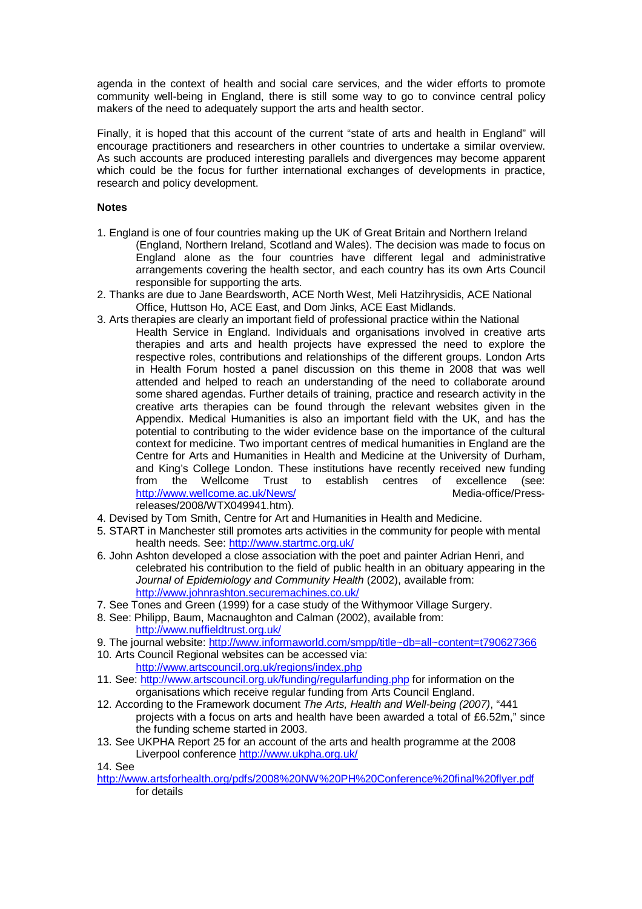agenda in the context of health and social care services, and the wider efforts to promote community well-being in England, there is still some way to go to convince central policy makers of the need to adequately support the arts and health sector.

Finally, it is hoped that this account of the current "state of arts and health in England" will encourage practitioners and researchers in other countries to undertake a similar overview. As such accounts are produced interesting parallels and divergences may become apparent which could be the focus for further international exchanges of developments in practice, research and policy development.

# **Notes**

- 1. England is one of four countries making up the UK of Great Britain and Northern Ireland (England, Northern Ireland, Scotland and Wales). The decision was made to focus on England alone as the four countries have different legal and administrative arrangements covering the health sector, and each country has its own Arts Council responsible for supporting the arts.
- 2. Thanks are due to Jane Beardsworth, ACE North West, Meli Hatzihrysidis, ACE National Office, Huttson Ho, ACE East, and Dom Jinks, ACE East Midlands.
- 3. Arts therapies are clearly an important field of professional practice within the National Health Service in England. Individuals and organisations involved in creative arts therapies and arts and health projects have expressed the need to explore the respective roles, contributions and relationships of the different groups. London Arts in Health Forum hosted a panel discussion on this theme in 2008 that was well attended and helped to reach an understanding of the need to collaborate around some shared agendas. Further details of training, practice and research activity in the creative arts therapies can be found through the relevant websites given in the Appendix. Medical Humanities is also an important field with the UK, and has the potential to contributing to the wider evidence base on the importance of the cultural context for medicine. Two important centres of medical humanities in England are the Centre for Arts and Humanities in Health and Medicine at the University of Durham, and King's College London. These institutions have recently received new funding from the Wellcome Trust to establish centres of excellence (see:<br>http://www.wellcome.ac.uk/News/<br>Media-office/Presshttp://www.wellcome.ac.uk/News/ releases/2008/WTX049941.htm).
- 4. Devised by Tom Smith, Centre for Art and Humanities in Health and Medicine.
- 5. START in Manchester still promotes arts activities in the community for people with mental health needs. See: http://www.startmc.org.uk/
- 6. John Ashton developed a close association with the poet and painter Adrian Henri, and celebrated his contribution to the field of public health in an obituary appearing in the Journal of Epidemiology and Community Health (2002), available from: http://www.johnrashton.securemachines.co.uk/
- 7. See Tones and Green (1999) for a case study of the Withymoor Village Surgery.
- 8. See: Philipp, Baum, Macnaughton and Calman (2002), available from: http://www.nuffieldtrust.org.uk/
- 9. The journal website: http://www.informaworld.com/smpp/title~db=all~content=t790627366
- 10. Arts Council Regional websites can be accessed via: http://www.artscouncil.org.uk/regions/index.php
- 11. See: http://www.artscouncil.org.uk/funding/regularfunding.php for information on the organisations which receive regular funding from Arts Council England.
- 12. According to the Framework document The Arts, Health and Well-being (2007), "441 projects with a focus on arts and health have been awarded a total of £6.52m," since the funding scheme started in 2003.
- 13. See UKPHA Report 25 for an account of the arts and health programme at the 2008 Liverpool conference http://www.ukpha.org.uk/

14. See

http://www.artsforhealth.org/pdfs/2008%20NW%20PH%20Conference%20final%20flyer.pdf for details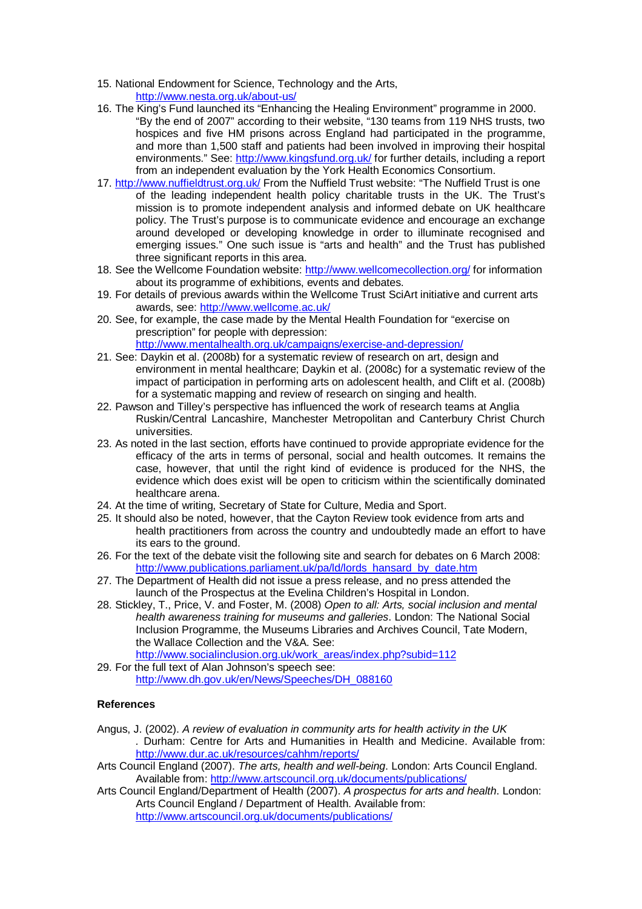- 15. National Endowment for Science, Technology and the Arts, http://www.nesta.org.uk/about-us/
- 16. The King's Fund launched its "Enhancing the Healing Environment" programme in 2000. "By the end of 2007" according to their website, "130 teams from 119 NHS trusts, two hospices and five HM prisons across England had participated in the programme, and more than 1,500 staff and patients had been involved in improving their hospital environments." See: http://www.kingsfund.org.uk/ for further details, including a report from an independent evaluation by the York Health Economics Consortium.
- 17. http://www.nuffieldtrust.org.uk/ From the Nuffield Trust website: "The Nuffield Trust is one of the leading independent health policy charitable trusts in the UK. The Trust's mission is to promote independent analysis and informed debate on UK healthcare policy. The Trust's purpose is to communicate evidence and encourage an exchange around developed or developing knowledge in order to illuminate recognised and emerging issues." One such issue is "arts and health" and the Trust has published three significant reports in this area.
- 18. See the Wellcome Foundation website: http://www.wellcomecollection.org/ for information about its programme of exhibitions, events and debates.
- 19. For details of previous awards within the Wellcome Trust SciArt initiative and current arts awards, see: http://www.wellcome.ac.uk/
- 20. See, for example, the case made by the Mental Health Foundation for "exercise on prescription" for people with depression: http://www.mentalhealth.org.uk/campaigns/exercise-and-depression/
- 21. See: Daykin et al. (2008b) for a systematic review of research on art, design and environment in mental healthcare; Daykin et al. (2008c) for a systematic review of the impact of participation in performing arts on adolescent health, and Clift et al. (2008b) for a systematic mapping and review of research on singing and health.
- 22. Pawson and Tilley's perspective has influenced the work of research teams at Anglia Ruskin/Central Lancashire, Manchester Metropolitan and Canterbury Christ Church universities.
- 23. As noted in the last section, efforts have continued to provide appropriate evidence for the efficacy of the arts in terms of personal, social and health outcomes. It remains the case, however, that until the right kind of evidence is produced for the NHS, the evidence which does exist will be open to criticism within the scientifically dominated healthcare arena.
- 24. At the time of writing, Secretary of State for Culture, Media and Sport.
- 25. It should also be noted, however, that the Cayton Review took evidence from arts and health practitioners from across the country and undoubtedly made an effort to have its ears to the ground.
- 26. For the text of the debate visit the following site and search for debates on 6 March 2008: http://www.publications.parliament.uk/pa/ld/lords\_hansard\_by\_date.htm
- 27. The Department of Health did not issue a press release, and no press attended the launch of the Prospectus at the Evelina Children's Hospital in London.
- 28. Stickley, T., Price, V. and Foster, M. (2008) Open to all: Arts, social inclusion and mental health awareness training for museums and galleries. London: The National Social Inclusion Programme, the Museums Libraries and Archives Council, Tate Modern, the Wallace Collection and the V&A. See:

http://www.socialinclusion.org.uk/work\_areas/index.php?subid=112

29. For the full text of Alan Johnson's speech see: http://www.dh.gov.uk/en/News/Speeches/DH\_088160

# **References**

- Angus, J. (2002). A review of evaluation in community arts for health activity in the UK . Durham: Centre for Arts and Humanities in Health and Medicine. Available from: http://www.dur.ac.uk/resources/cahhm/reports/
- Arts Council England (2007). The arts, health and well-being. London: Arts Council England. Available from: http://www.artscouncil.org.uk/documents/publications/
- Arts Council England/Department of Health (2007). A prospectus for arts and health. London: Arts Council England / Department of Health. Available from: http://www.artscouncil.org.uk/documents/publications/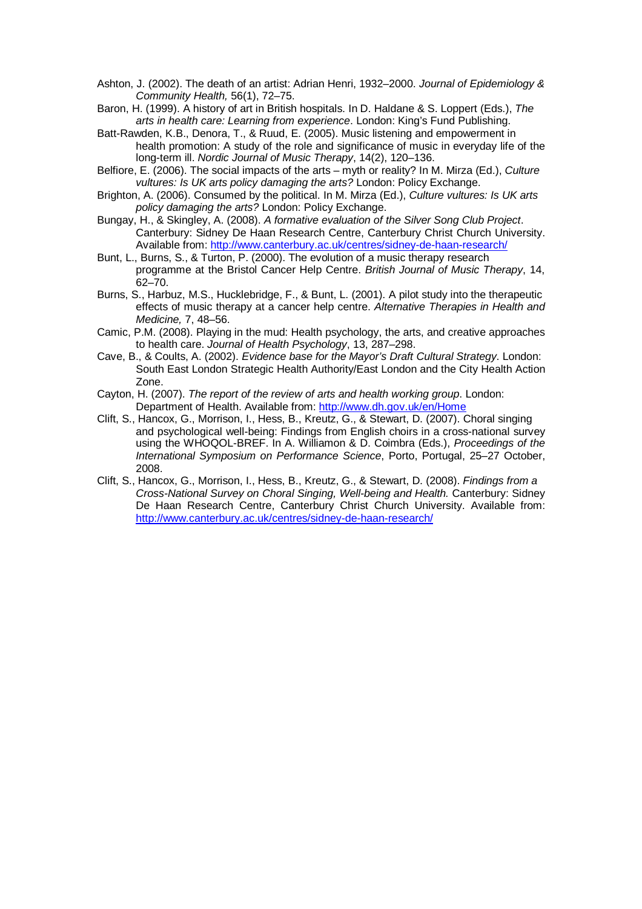- Ashton, J. (2002). The death of an artist: Adrian Henri, 1932–2000. Journal of Epidemiology & Community Health, 56(1), 72–75.
- Baron, H. (1999). A history of art in British hospitals. In D. Haldane & S. Loppert (Eds.), The arts in health care: Learning from experience. London: King's Fund Publishing.
- Batt-Rawden, K.B., Denora, T., & Ruud, E. (2005). Music listening and empowerment in health promotion: A study of the role and significance of music in everyday life of the long-term ill. Nordic Journal of Music Therapy, 14(2), 120–136.
- Belfiore, E. (2006). The social impacts of the arts myth or reality? In M. Mirza (Ed.), Culture vultures: Is UK arts policy damaging the arts? London: Policy Exchange.
- Brighton, A. (2006). Consumed by the political. In M. Mirza (Ed.), Culture vultures: Is UK arts policy damaging the arts? London: Policy Exchange.
- Bungay, H., & Skingley, A. (2008). A formative evaluation of the Silver Song Club Project. Canterbury: Sidney De Haan Research Centre, Canterbury Christ Church University. Available from: http://www.canterbury.ac.uk/centres/sidney-de-haan-research/
- Bunt, L., Burns, S., & Turton, P. (2000). The evolution of a music therapy research programme at the Bristol Cancer Help Centre. British Journal of Music Therapy, 14, 62–70.
- Burns, S., Harbuz, M.S., Hucklebridge, F., & Bunt, L. (2001). A pilot study into the therapeutic effects of music therapy at a cancer help centre. Alternative Therapies in Health and Medicine, 7, 48–56.
- Camic, P.M. (2008). Playing in the mud: Health psychology, the arts, and creative approaches to health care. Journal of Health Psychology, 13, 287–298.
- Cave, B., & Coults, A. (2002). Evidence base for the Mayor's Draft Cultural Strategy. London: South East London Strategic Health Authority/East London and the City Health Action Zone.
- Cayton, H. (2007). The report of the review of arts and health working group. London: Department of Health. Available from: http://www.dh.gov.uk/en/Home
- Clift, S., Hancox, G., Morrison, I., Hess, B., Kreutz, G., & Stewart, D. (2007). Choral singing and psychological well-being: Findings from English choirs in a cross-national survey using the WHOQOL-BREF. In A. Williamon & D. Coimbra (Eds.), Proceedings of the International Symposium on Performance Science, Porto, Portugal, 25–27 October, 2008.
- Clift, S., Hancox, G., Morrison, I., Hess, B., Kreutz, G., & Stewart, D. (2008). Findings from a Cross-National Survey on Choral Singing, Well-being and Health. Canterbury: Sidney De Haan Research Centre, Canterbury Christ Church University. Available from: http://www.canterbury.ac.uk/centres/sidney-de-haan-research/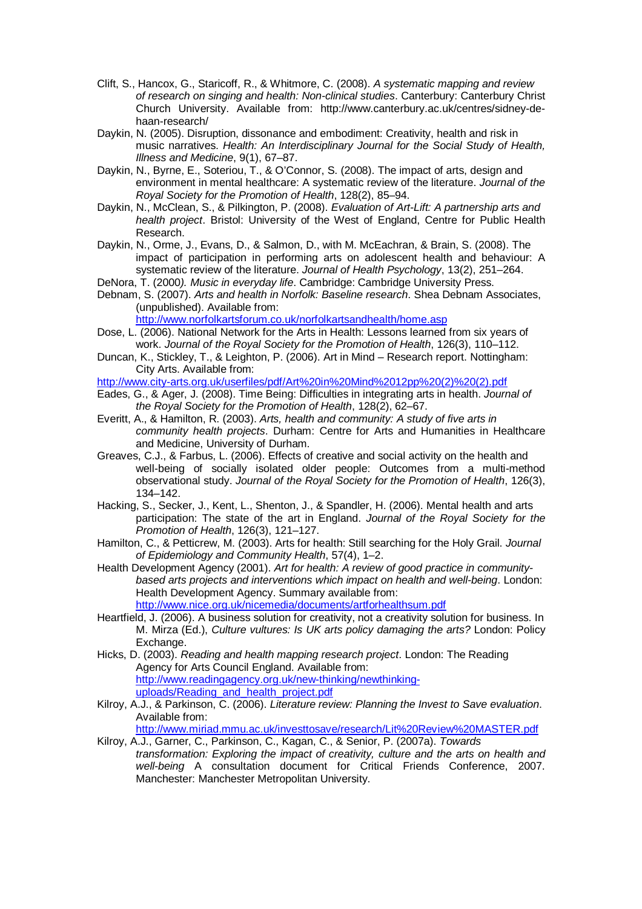- Clift, S., Hancox, G., Staricoff, R., & Whitmore, C. (2008). A systematic mapping and review of research on singing and health: Non-clinical studies. Canterbury: Canterbury Christ Church University. Available from: http://www.canterbury.ac.uk/centres/sidney-dehaan-research/
- Daykin, N. (2005). Disruption, dissonance and embodiment: Creativity, health and risk in music narratives. Health: An Interdisciplinary Journal for the Social Study of Health, Illness and Medicine, 9(1), 67–87.
- Daykin, N., Byrne, E., Soteriou, T., & O'Connor, S. (2008). The impact of arts, design and environment in mental healthcare: A systematic review of the literature. Journal of the Royal Society for the Promotion of Health, 128(2), 85–94.
- Daykin, N., McClean, S., & Pilkington, P. (2008). Evaluation of Art-Lift: A partnership arts and health project. Bristol: University of the West of England, Centre for Public Health Research.
- Daykin, N., Orme, J., Evans, D., & Salmon, D., with M. McEachran, & Brain, S. (2008). The impact of participation in performing arts on adolescent health and behaviour: A systematic review of the literature. Journal of Health Psychology, 13(2), 251–264.
- DeNora, T. (2000). Music in everyday life. Cambridge: Cambridge University Press.
- Debnam, S. (2007). Arts and health in Norfolk: Baseline research. Shea Debnam Associates, (unpublished). Available from:

http://www.norfolkartsforum.co.uk/norfolkartsandhealth/home.asp

- Dose, L. (2006). National Network for the Arts in Health: Lessons learned from six years of work. Journal of the Royal Society for the Promotion of Health, 126(3), 110–112.
- Duncan, K., Stickley, T., & Leighton, P. (2006). Art in Mind Research report. Nottingham: City Arts. Available from:
- http://www.city-arts.org.uk/userfiles/pdf/Art%20in%20Mind%2012pp%20(2)%20(2).pdf
- Eades, G., & Ager, J. (2008). Time Being: Difficulties in integrating arts in health. Journal of the Royal Society for the Promotion of Health, 128(2), 62–67.
- Everitt, A., & Hamilton, R. (2003). Arts, health and community: A study of five arts in community health projects. Durham: Centre for Arts and Humanities in Healthcare and Medicine, University of Durham.
- Greaves, C.J., & Farbus, L. (2006). Effects of creative and social activity on the health and well-being of socially isolated older people: Outcomes from a multi-method observational study. Journal of the Royal Society for the Promotion of Health, 126(3), 134–142.
- Hacking, S., Secker, J., Kent, L., Shenton, J., & Spandler, H. (2006). Mental health and arts participation: The state of the art in England. Journal of the Royal Society for the Promotion of Health, 126(3), 121–127.
- Hamilton, C., & Petticrew, M. (2003). Arts for health: Still searching for the Holy Grail. Journal of Epidemiology and Community Health, 57(4), 1–2.
- Health Development Agency (2001). Art for health: A review of good practice in communitybased arts projects and interventions which impact on health and well-being. London: Health Development Agency. Summary available from:

http://www.nice.org.uk/nicemedia/documents/artforhealthsum.pdf

- Heartfield, J. (2006). A business solution for creativity, not a creativity solution for business. In M. Mirza (Ed.), Culture vultures: Is UK arts policy damaging the arts? London: Policy Exchange.
- Hicks, D. (2003). Reading and health mapping research project. London: The Reading Agency for Arts Council England. Available from: http://www.readingagency.org.uk/new-thinking/newthinkinguploads/Reading\_and\_health\_project.pdf
- Kilroy, A.J., & Parkinson, C. (2006). Literature review: Planning the Invest to Save evaluation. Available from:

http://www.miriad.mmu.ac.uk/investtosave/research/Lit%20Review%20MASTER.pdf

Kilroy, A.J., Garner, C., Parkinson, C., Kagan, C., & Senior, P. (2007a). Towards transformation: Exploring the impact of creativity, culture and the arts on health and well-being A consultation document for Critical Friends Conference, 2007. Manchester: Manchester Metropolitan University.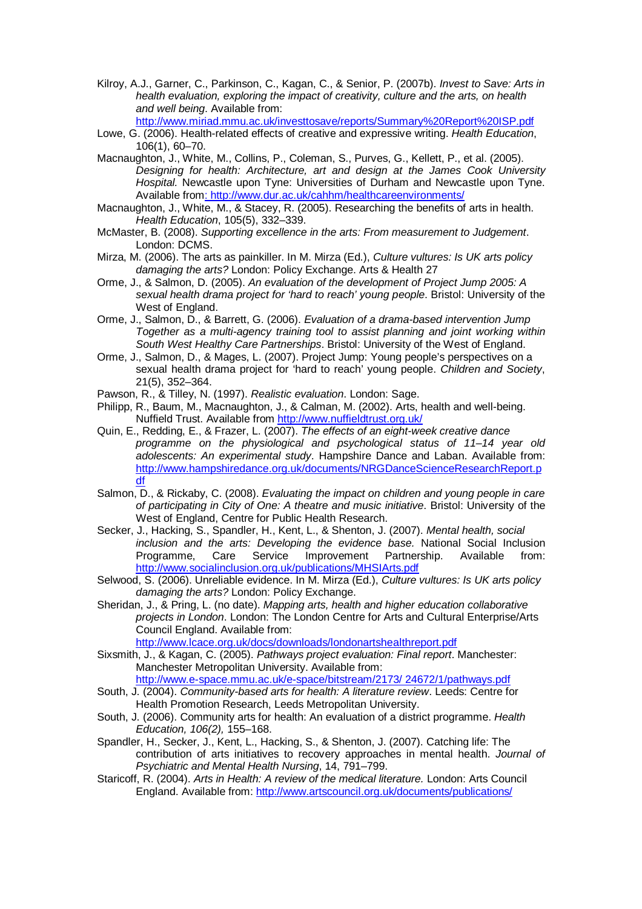Kilroy, A.J., Garner, C., Parkinson, C., Kagan, C., & Senior, P. (2007b). Invest to Save: Arts in health evaluation, exploring the impact of creativity, culture and the arts, on health and well being. Available from:

http://www.miriad.mmu.ac.uk/investtosave/reports/Summary%20Report%20ISP.pdf

- Lowe, G. (2006). Health-related effects of creative and expressive writing. Health Education, 106(1), 60–70.
- Macnaughton, J., White, M., Collins, P., Coleman, S., Purves, G., Kellett, P., et al. (2005). Designing for health: Architecture, art and design at the James Cook University Hospital. Newcastle upon Tyne: Universities of Durham and Newcastle upon Tyne. Available from: http://www.dur.ac.uk/cahhm/healthcareenvironments/
- Macnaughton, J., White, M., & Stacey, R. (2005). Researching the benefits of arts in health. Health Education, 105(5), 332–339.
- McMaster, B. (2008). Supporting excellence in the arts: From measurement to Judgement. London: DCMS.
- Mirza, M. (2006). The arts as painkiller. In M. Mirza (Ed.), Culture vultures: Is UK arts policy damaging the arts? London: Policy Exchange. Arts & Health 27
- Orme, J., & Salmon, D. (2005). An evaluation of the development of Project Jump 2005: A sexual health drama project for 'hard to reach' young people. Bristol: University of the West of England.
- Orme, J., Salmon, D., & Barrett, G. (2006). Evaluation of a drama-based intervention Jump Together as a multi-agency training tool to assist planning and joint working within South West Healthy Care Partnerships. Bristol: University of the West of England.
- Orme, J., Salmon, D., & Mages, L. (2007). Project Jump: Young people's perspectives on a sexual health drama project for 'hard to reach' young people. Children and Society, 21(5), 352–364.
- Pawson, R., & Tilley, N. (1997). Realistic evaluation. London: Sage.
- Philipp, R., Baum, M., Macnaughton, J., & Calman, M. (2002). Arts, health and well-being. Nuffield Trust. Available from http://www.nuffieldtrust.org.uk/
- Quin, E., Redding, E., & Frazer, L. (2007). The effects of an eight-week creative dance programme on the physiological and psychological status of 11–14 year old adolescents: An experimental study. Hampshire Dance and Laban. Available from: http://www.hampshiredance.org.uk/documents/NRGDanceScienceResearchReport.p df
- Salmon, D., & Rickaby, C. (2008). Evaluating the impact on children and young people in care of participating in City of One: A theatre and music initiative. Bristol: University of the West of England, Centre for Public Health Research.
- Secker, J., Hacking, S., Spandler, H., Kent, L., & Shenton, J. (2007). Mental health, social inclusion and the arts: Developing the evidence base. National Social Inclusion Programme, Care Service Improvement Partnership. Available from: http://www.socialinclusion.org.uk/publications/MHSIArts.pdf
- Selwood, S. (2006). Unreliable evidence. In M. Mirza (Ed.), Culture vultures: Is UK arts policy damaging the arts? London: Policy Exchange.
- Sheridan, J., & Pring, L. (no date). Mapping arts, health and higher education collaborative projects in London. London: The London Centre for Arts and Cultural Enterprise/Arts Council England. Available from:

http://www.lcace.org.uk/docs/downloads/londonartshealthreport.pdf

- Sixsmith, J., & Kagan, C. (2005). Pathways project evaluation: Final report. Manchester: Manchester Metropolitan University. Available from:
- http://www.e-space.mmu.ac.uk/e-space/bitstream/2173/ 24672/1/pathways.pdf South, J. (2004). Community-based arts for health: A literature review. Leeds: Centre for
- Health Promotion Research, Leeds Metropolitan University.
- South, J. (2006). Community arts for health: An evaluation of a district programme. Health Education, 106(2), 155–168.
- Spandler, H., Secker, J., Kent, L., Hacking, S., & Shenton, J. (2007). Catching life: The contribution of arts initiatives to recovery approaches in mental health. Journal of Psychiatric and Mental Health Nursing, 14, 791–799.
- Staricoff, R. (2004). Arts in Health: A review of the medical literature. London: Arts Council England. Available from: http://www.artscouncil.org.uk/documents/publications/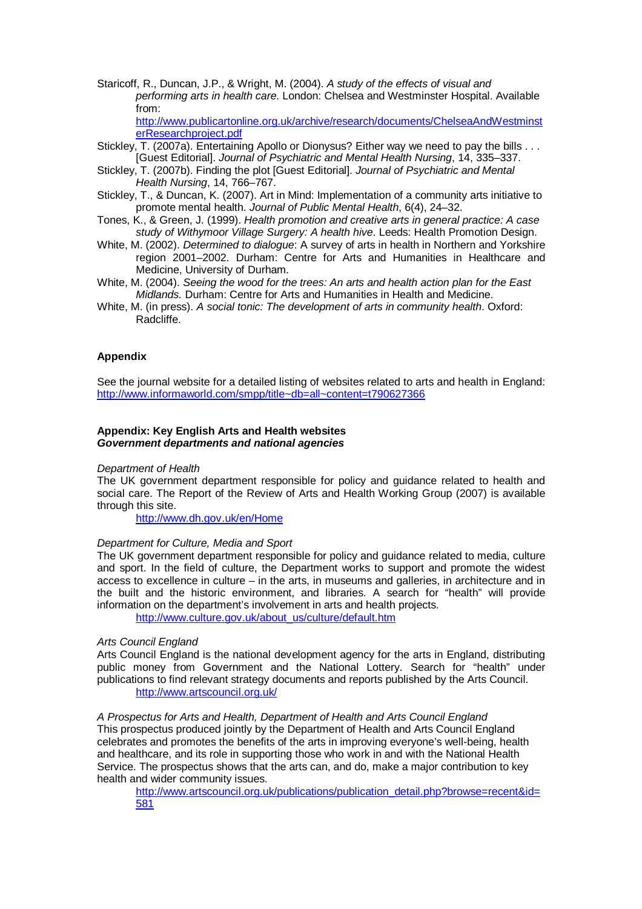Staricoff, R., Duncan, J.P., & Wright, M. (2004). A study of the effects of visual and performing arts in health care. London: Chelsea and Westminster Hospital. Available from:

http://www.publicartonline.org.uk/archive/research/documents/ChelseaAndWestminst erResearchproject.pdf

- Stickley, T. (2007a). Entertaining Apollo or Dionysus? Either way we need to pay the bills . . . [Guest Editorial]. Journal of Psychiatric and Mental Health Nursing, 14, 335–337.
- Stickley, T. (2007b). Finding the plot [Guest Editorial]. Journal of Psychiatric and Mental Health Nursing, 14, 766–767.
- Stickley, T., & Duncan, K. (2007). Art in Mind: Implementation of a community arts initiative to promote mental health. Journal of Public Mental Health, 6(4), 24–32.
- Tones, K., & Green, J. (1999). Health promotion and creative arts in general practice: A case study of Withymoor Village Surgery: A health hive. Leeds: Health Promotion Design.
- White, M. (2002). Determined to dialogue: A survey of arts in health in Northern and Yorkshire region 2001–2002. Durham: Centre for Arts and Humanities in Healthcare and Medicine, University of Durham.
- White, M. (2004). Seeing the wood for the trees: An arts and health action plan for the East Midlands. Durham: Centre for Arts and Humanities in Health and Medicine.
- White, M. (in press). A social tonic: The development of arts in community health. Oxford: Radcliffe.

### **Appendix**

See the journal website for a detailed listing of websites related to arts and health in England: http://www.informaworld.com/smpp/title~db=all~content=t790627366

# **Appendix: Key English Arts and Health websites Government departments and national agencies**

#### Department of Health

The UK government department responsible for policy and guidance related to health and social care. The Report of the Review of Arts and Health Working Group (2007) is available through this site.

http://www.dh.gov.uk/en/Home

### Department for Culture, Media and Sport

The UK government department responsible for policy and guidance related to media, culture and sport. In the field of culture, the Department works to support and promote the widest access to excellence in culture – in the arts, in museums and galleries, in architecture and in the built and the historic environment, and libraries. A search for "health" will provide information on the department's involvement in arts and health projects.

http://www.culture.gov.uk/about\_us/culture/default.htm

### Arts Council England

Arts Council England is the national development agency for the arts in England, distributing public money from Government and the National Lottery. Search for "health" under publications to find relevant strategy documents and reports published by the Arts Council. http://www.artscouncil.org.uk/

A Prospectus for Arts and Health, Department of Health and Arts Council England

This prospectus produced jointly by the Department of Health and Arts Council England celebrates and promotes the benefits of the arts in improving everyone's well-being, health and healthcare, and its role in supporting those who work in and with the National Health Service. The prospectus shows that the arts can, and do, make a major contribution to key health and wider community issues.

http://www.artscouncil.org.uk/publications/publication\_detail.php?browse=recent&id= 581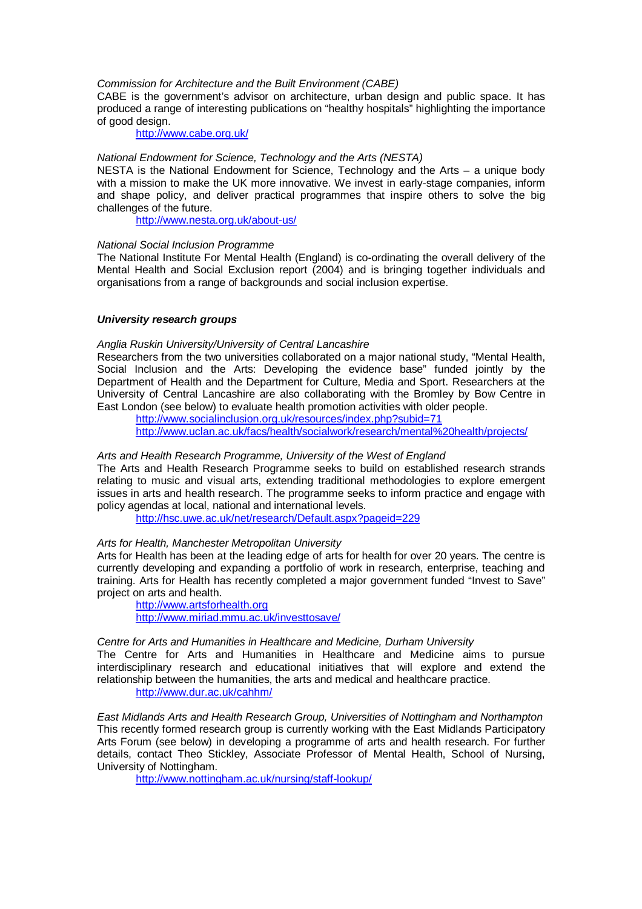### Commission for Architecture and the Built Environment (CABE)

CABE is the government's advisor on architecture, urban design and public space. It has produced a range of interesting publications on "healthy hospitals" highlighting the importance of good design.

http://www.cabe.org.uk/

### National Endowment for Science, Technology and the Arts (NESTA)

NESTA is the National Endowment for Science, Technology and the Arts – a unique body with a mission to make the UK more innovative. We invest in early-stage companies, inform and shape policy, and deliver practical programmes that inspire others to solve the big challenges of the future.

http://www.nesta.org.uk/about-us/

### National Social Inclusion Programme

The National Institute For Mental Health (England) is co-ordinating the overall delivery of the Mental Health and Social Exclusion report (2004) and is bringing together individuals and organisations from a range of backgrounds and social inclusion expertise.

### **University research groups**

#### Anglia Ruskin University/University of Central Lancashire

Researchers from the two universities collaborated on a major national study, "Mental Health, Social Inclusion and the Arts: Developing the evidence base" funded jointly by the Department of Health and the Department for Culture, Media and Sport. Researchers at the University of Central Lancashire are also collaborating with the Bromley by Bow Centre in East London (see below) to evaluate health promotion activities with older people.

http://www.socialinclusion.org.uk/resources/index.php?subid=71 http://www.uclan.ac.uk/facs/health/socialwork/research/mental%20health/projects/

### Arts and Health Research Programme, University of the West of England

The Arts and Health Research Programme seeks to build on established research strands relating to music and visual arts, extending traditional methodologies to explore emergent issues in arts and health research. The programme seeks to inform practice and engage with policy agendas at local, national and international levels.

http://hsc.uwe.ac.uk/net/research/Default.aspx?pageid=229

### Arts for Health, Manchester Metropolitan University

Arts for Health has been at the leading edge of arts for health for over 20 years. The centre is currently developing and expanding a portfolio of work in research, enterprise, teaching and training. Arts for Health has recently completed a major government funded "Invest to Save" project on arts and health.

http://www.artsforhealth.org http://www.miriad.mmu.ac.uk/investtosave/

### Centre for Arts and Humanities in Healthcare and Medicine, Durham University

The Centre for Arts and Humanities in Healthcare and Medicine aims to pursue interdisciplinary research and educational initiatives that will explore and extend the relationship between the humanities, the arts and medical and healthcare practice. http://www.dur.ac.uk/cahhm/

East Midlands Arts and Health Research Group, Universities of Nottingham and Northampton This recently formed research group is currently working with the East Midlands Participatory Arts Forum (see below) in developing a programme of arts and health research. For further details, contact Theo Stickley, Associate Professor of Mental Health, School of Nursing,

University of Nottingham. http://www.nottingham.ac.uk/nursing/staff-lookup/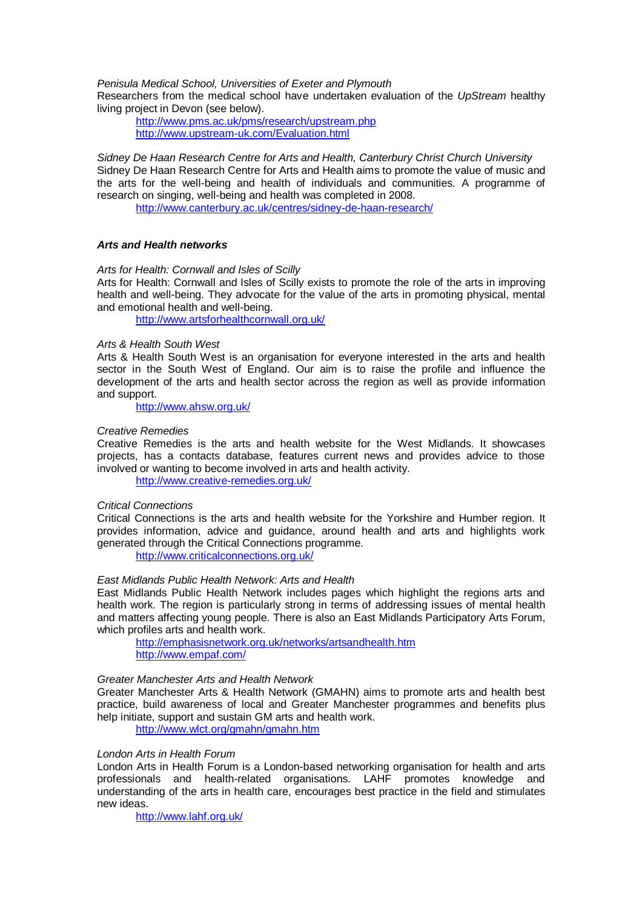Penisula Medical School, Universities of Exeter and Plymouth

Researchers from the medical school have undertaken evaluation of the UpStream healthy living project in Devon (see below).

http://www.pms.ac.uk/pms/research/upstream.php http://www.upstream-uk.com/Evaluation.html

Sidney De Haan Research Centre for Arts and Health, Canterbury Christ Church University Sidney De Haan Research Centre for Arts and Health aims to promote the value of music and the arts for the well-being and health of individuals and communities. A programme of research on singing, well-being and health was completed in 2008.

http://www.canterbury.ac.uk/centres/sidney-de-haan-research/

### **Arts and Health networks**

Arts for Health: Cornwall and Isles of Scilly

Arts for Health: Cornwall and Isles of Scilly exists to promote the role of the arts in improving health and well-being. They advocate for the value of the arts in promoting physical, mental and emotional health and well-being.

http://www.artsforhealthcornwall.org.uk/

### Arts & Health South West

Arts & Health South West is an organisation for everyone interested in the arts and health sector in the South West of England. Our aim is to raise the profile and influence the development of the arts and health sector across the region as well as provide information and support.

http://www.ahsw.org.uk/

### Creative Remedies

Creative Remedies is the arts and health website for the West Midlands. It showcases projects, has a contacts database, features current news and provides advice to those involved or wanting to become involved in arts and health activity.

http://www.creative-remedies.org.uk/

#### Critical Connections

Critical Connections is the arts and health website for the Yorkshire and Humber region. It provides information, advice and guidance, around health and arts and highlights work generated through the Critical Connections programme.

http://www.criticalconnections.org.uk/

#### East Midlands Public Health Network: Arts and Health

East Midlands Public Health Network includes pages which highlight the regions arts and health work. The region is particularly strong in terms of addressing issues of mental health and matters affecting young people. There is also an East Midlands Participatory Arts Forum, which profiles arts and health work.

http://emphasisnetwork.org.uk/networks/artsandhealth.htm http://www.empaf.com/

# Greater Manchester Arts and Health Network

Greater Manchester Arts & Health Network (GMAHN) aims to promote arts and health best practice, build awareness of local and Greater Manchester programmes and benefits plus help initiate, support and sustain GM arts and health work.

http://www.wlct.org/gmahn/gmahn.htm

# London Arts in Health Forum

London Arts in Health Forum is a London-based networking organisation for health and arts professionals and health-related organisations. LAHF promotes knowledge and understanding of the arts in health care, encourages best practice in the field and stimulates new ideas.

http://www.lahf.org.uk/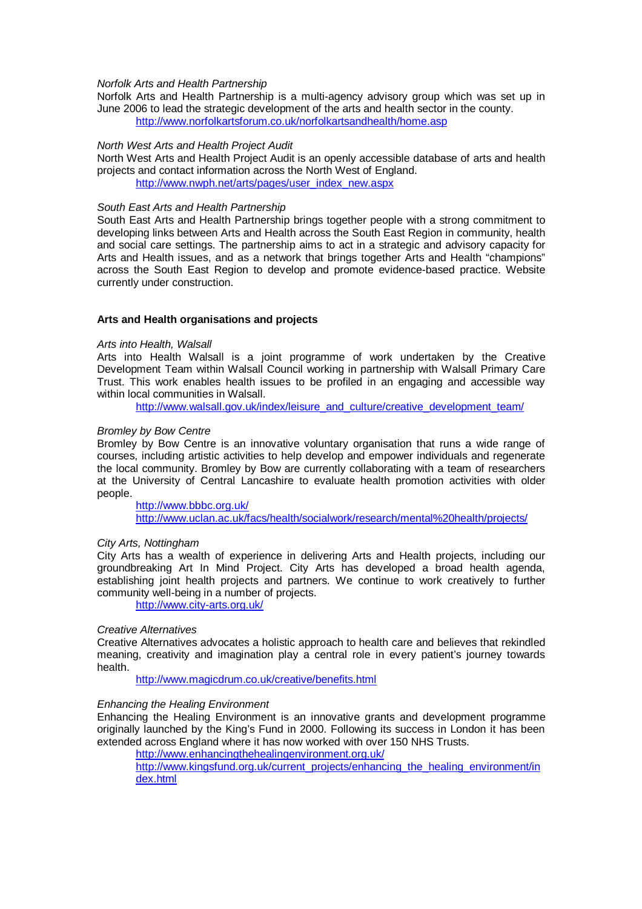### Norfolk Arts and Health Partnership

Norfolk Arts and Health Partnership is a multi-agency advisory group which was set up in June 2006 to lead the strategic development of the arts and health sector in the county. http://www.norfolkartsforum.co.uk/norfolkartsandhealth/home.asp

### North West Arts and Health Project Audit

North West Arts and Health Project Audit is an openly accessible database of arts and health projects and contact information across the North West of England. http://www.nwph.net/arts/pages/user\_index\_new.aspx

### South East Arts and Health Partnership

South East Arts and Health Partnership brings together people with a strong commitment to developing links between Arts and Health across the South East Region in community, health and social care settings. The partnership aims to act in a strategic and advisory capacity for Arts and Health issues, and as a network that brings together Arts and Health "champions" across the South East Region to develop and promote evidence-based practice. Website currently under construction.

# **Arts and Health organisations and projects**

### Arts into Health, Walsall

Arts into Health Walsall is a joint programme of work undertaken by the Creative Development Team within Walsall Council working in partnership with Walsall Primary Care Trust. This work enables health issues to be profiled in an engaging and accessible way within local communities in Walsall.

http://www.walsall.gov.uk/index/leisure\_and\_culture/creative\_development\_team/

# Bromley by Bow Centre

Bromley by Bow Centre is an innovative voluntary organisation that runs a wide range of courses, including artistic activities to help develop and empower individuals and regenerate the local community. Bromley by Bow are currently collaborating with a team of researchers at the University of Central Lancashire to evaluate health promotion activities with older people.

http://www.bbbc.org.uk/ http://www.uclan.ac.uk/facs/health/socialwork/research/mental%20health/projects/

# City Arts, Nottingham

City Arts has a wealth of experience in delivering Arts and Health projects, including our groundbreaking Art In Mind Project. City Arts has developed a broad health agenda, establishing joint health projects and partners. We continue to work creatively to further community well-being in a number of projects.

http://www.city-arts.org.uk/

#### Creative Alternatives

Creative Alternatives advocates a holistic approach to health care and believes that rekindled meaning, creativity and imagination play a central role in every patient's journey towards health.

http://www.magicdrum.co.uk/creative/benefits.html

# Enhancing the Healing Environment

Enhancing the Healing Environment is an innovative grants and development programme originally launched by the King's Fund in 2000. Following its success in London it has been extended across England where it has now worked with over 150 NHS Trusts.

http://www.enhancingthehealingenvironment.org.uk/

http://www.kingsfund.org.uk/current\_projects/enhancing\_the\_healing\_environment/in dex.html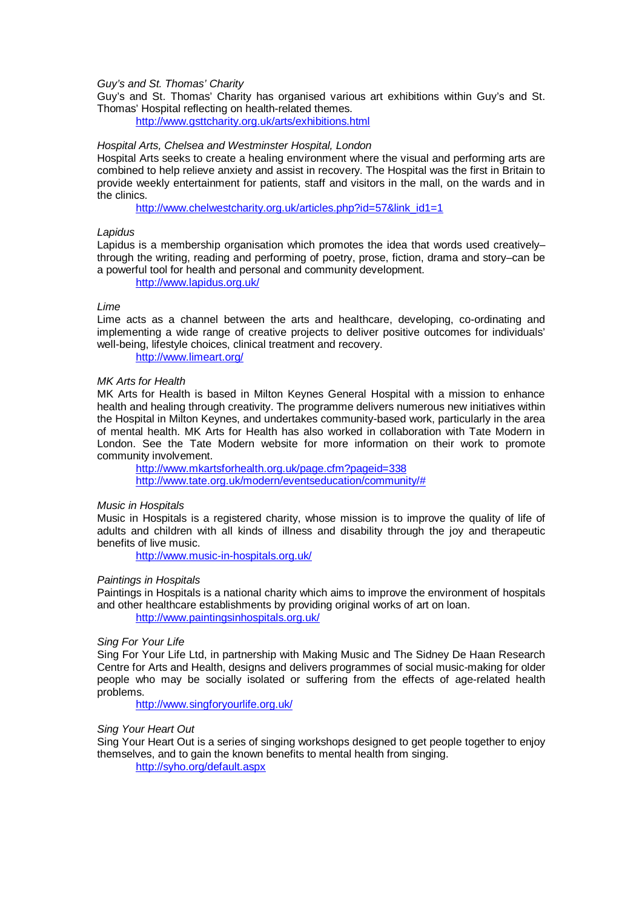# Guy's and St. Thomas' Charity

Guy's and St. Thomas' Charity has organised various art exhibitions within Guy's and St. Thomas' Hospital reflecting on health-related themes.

http://www.gsttcharity.org.uk/arts/exhibitions.html

### Hospital Arts, Chelsea and Westminster Hospital, London

Hospital Arts seeks to create a healing environment where the visual and performing arts are combined to help relieve anxiety and assist in recovery. The Hospital was the first in Britain to provide weekly entertainment for patients, staff and visitors in the mall, on the wards and in the clinics.

http://www.chelwestcharity.org.uk/articles.php?id=57&link\_id1=1

# Lapidus

Lapidus is a membership organisation which promotes the idea that words used creatively– through the writing, reading and performing of poetry, prose, fiction, drama and story–can be a powerful tool for health and personal and community development.

http://www.lapidus.org.uk/

#### Lime

Lime acts as a channel between the arts and healthcare, developing, co-ordinating and implementing a wide range of creative projects to deliver positive outcomes for individuals' well-being, lifestyle choices, clinical treatment and recovery.

http://www.limeart.org/

#### MK Arts for Health

MK Arts for Health is based in Milton Keynes General Hospital with a mission to enhance health and healing through creativity. The programme delivers numerous new initiatives within the Hospital in Milton Keynes, and undertakes community-based work, particularly in the area of mental health. MK Arts for Health has also worked in collaboration with Tate Modern in London. See the Tate Modern website for more information on their work to promote community involvement.

http://www.mkartsforhealth.org.uk/page.cfm?pageid=338 http://www.tate.org.uk/modern/eventseducation/community/#

#### Music in Hospitals

Music in Hospitals is a registered charity, whose mission is to improve the quality of life of adults and children with all kinds of illness and disability through the joy and therapeutic benefits of live music.

http://www.music-in-hospitals.org.uk/

#### Paintings in Hospitals

Paintings in Hospitals is a national charity which aims to improve the environment of hospitals and other healthcare establishments by providing original works of art on loan.

http://www.paintingsinhospitals.org.uk/

# Sing For Your Life

Sing For Your Life Ltd, in partnership with Making Music and The Sidney De Haan Research Centre for Arts and Health, designs and delivers programmes of social music-making for older people who may be socially isolated or suffering from the effects of age-related health problems.

http://www.singforyourlife.org.uk/

### Sing Your Heart Out

Sing Your Heart Out is a series of singing workshops designed to get people together to enjoy themselves, and to gain the known benefits to mental health from singing.

http://syho.org/default.aspx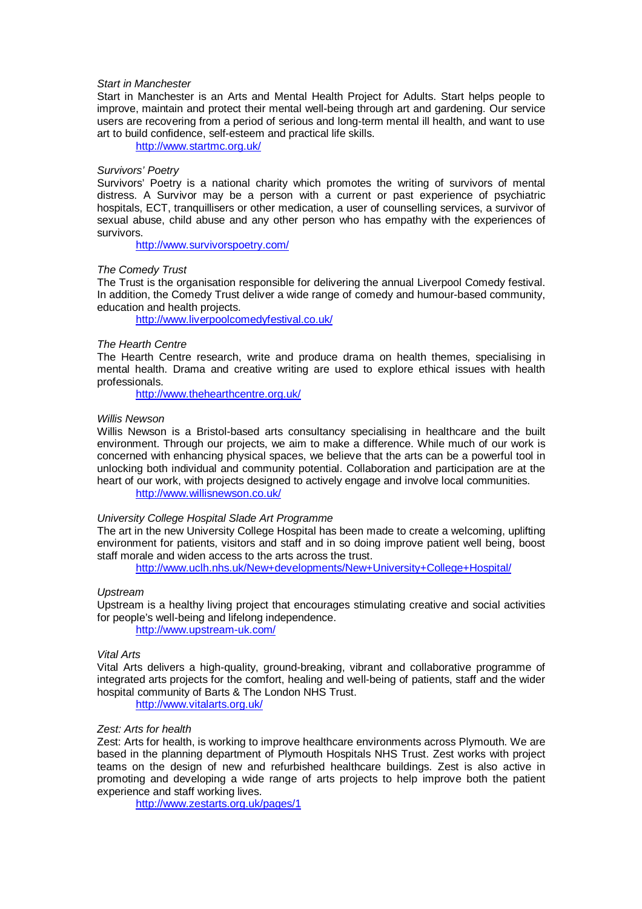### Start in Manchester

Start in Manchester is an Arts and Mental Health Project for Adults. Start helps people to improve, maintain and protect their mental well-being through art and gardening. Our service users are recovering from a period of serious and long-term mental ill health, and want to use art to build confidence, self-esteem and practical life skills.

http://www.startmc.org.uk/

### Survivors' Poetry

Survivors' Poetry is a national charity which promotes the writing of survivors of mental distress. A Survivor may be a person with a current or past experience of psychiatric hospitals, ECT, tranquillisers or other medication, a user of counselling services, a survivor of sexual abuse, child abuse and any other person who has empathy with the experiences of survivors.

http://www.survivorspoetry.com/

#### The Comedy Trust

The Trust is the organisation responsible for delivering the annual Liverpool Comedy festival. In addition, the Comedy Trust deliver a wide range of comedy and humour-based community, education and health projects.

http://www.liverpoolcomedyfestival.co.uk/

### The Hearth Centre

The Hearth Centre research, write and produce drama on health themes, specialising in mental health. Drama and creative writing are used to explore ethical issues with health professionals.

http://www.thehearthcentre.org.uk/

# Willis Newson

Willis Newson is a Bristol-based arts consultancy specialising in healthcare and the built environment. Through our projects, we aim to make a difference. While much of our work is concerned with enhancing physical spaces, we believe that the arts can be a powerful tool in unlocking both individual and community potential. Collaboration and participation are at the heart of our work, with projects designed to actively engage and involve local communities. http://www.willisnewson.co.uk/

#### University College Hospital Slade Art Programme

The art in the new University College Hospital has been made to create a welcoming, uplifting environment for patients, visitors and staff and in so doing improve patient well being, boost staff morale and widen access to the arts across the trust.

http://www.uclh.nhs.uk/New+developments/New+University+College+Hospital/

#### Upstream

Upstream is a healthy living project that encourages stimulating creative and social activities for people's well-being and lifelong independence.

http://www.upstream-uk.com/

### Vital Arts

Vital Arts delivers a high-quality, ground-breaking, vibrant and collaborative programme of integrated arts projects for the comfort, healing and well-being of patients, staff and the wider hospital community of Barts & The London NHS Trust.

http://www.vitalarts.org.uk/

#### Zest: Arts for health

Zest: Arts for health, is working to improve healthcare environments across Plymouth. We are based in the planning department of Plymouth Hospitals NHS Trust. Zest works with project teams on the design of new and refurbished healthcare buildings. Zest is also active in promoting and developing a wide range of arts projects to help improve both the patient experience and staff working lives.

http://www.zestarts.org.uk/pages/1